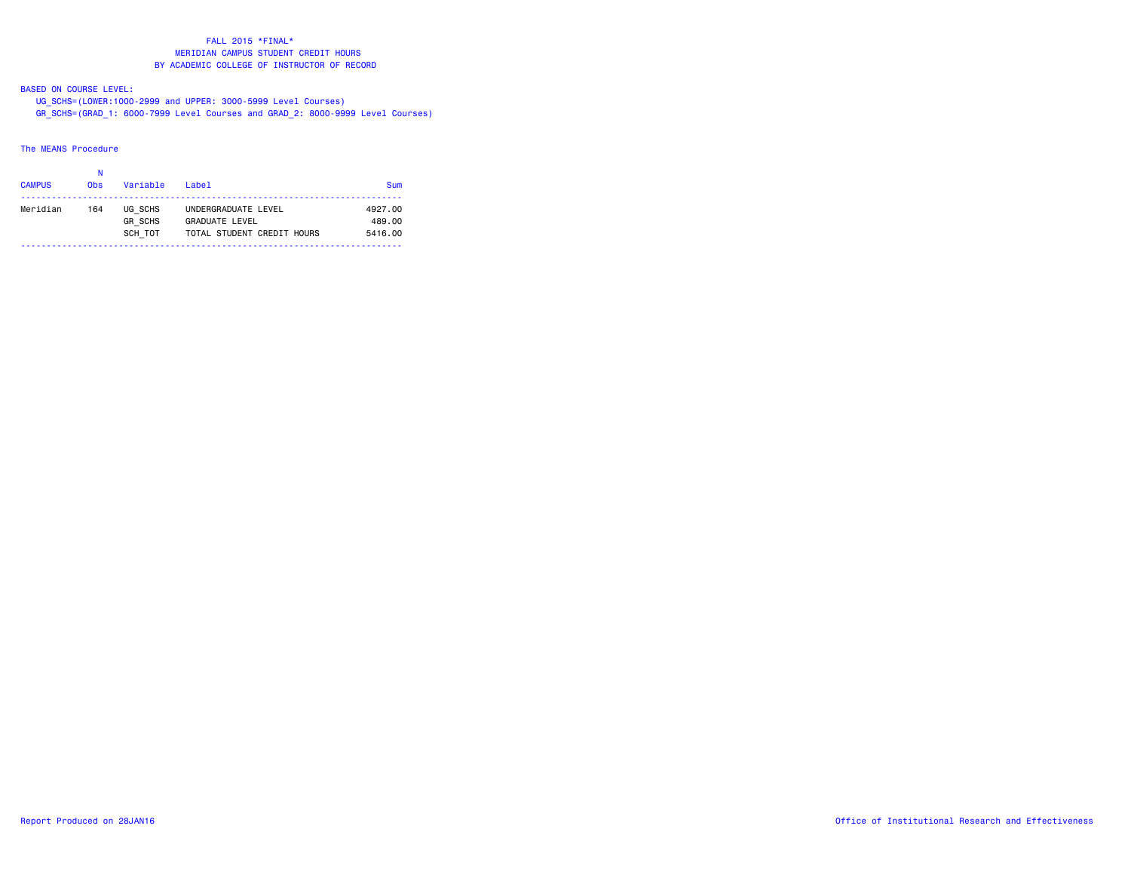#### BASED ON COURSE LEVEL:

UG\_SCHS=(LOWER:1000-2999 and UPPER: 3000-5999 Level Courses)

GR\_SCHS=(GRAD\_1: 6000-7999 Level Courses and GRAD\_2: 8000-9999 Level Courses)

### The MEANS Procedure

# N**CAMPUS** Obs Variable Label Sum -------------------------------------------------------------------------- Meridian 164 UG\_SCHS UNDERGRADUATE LEVEL 4927.00 GR\_SCHS GRADUATE LEVEL 489.00 SCH\_TOT TOTAL STUDENT CREDIT HOURS 5416.00 --------------------------------------------------------------------------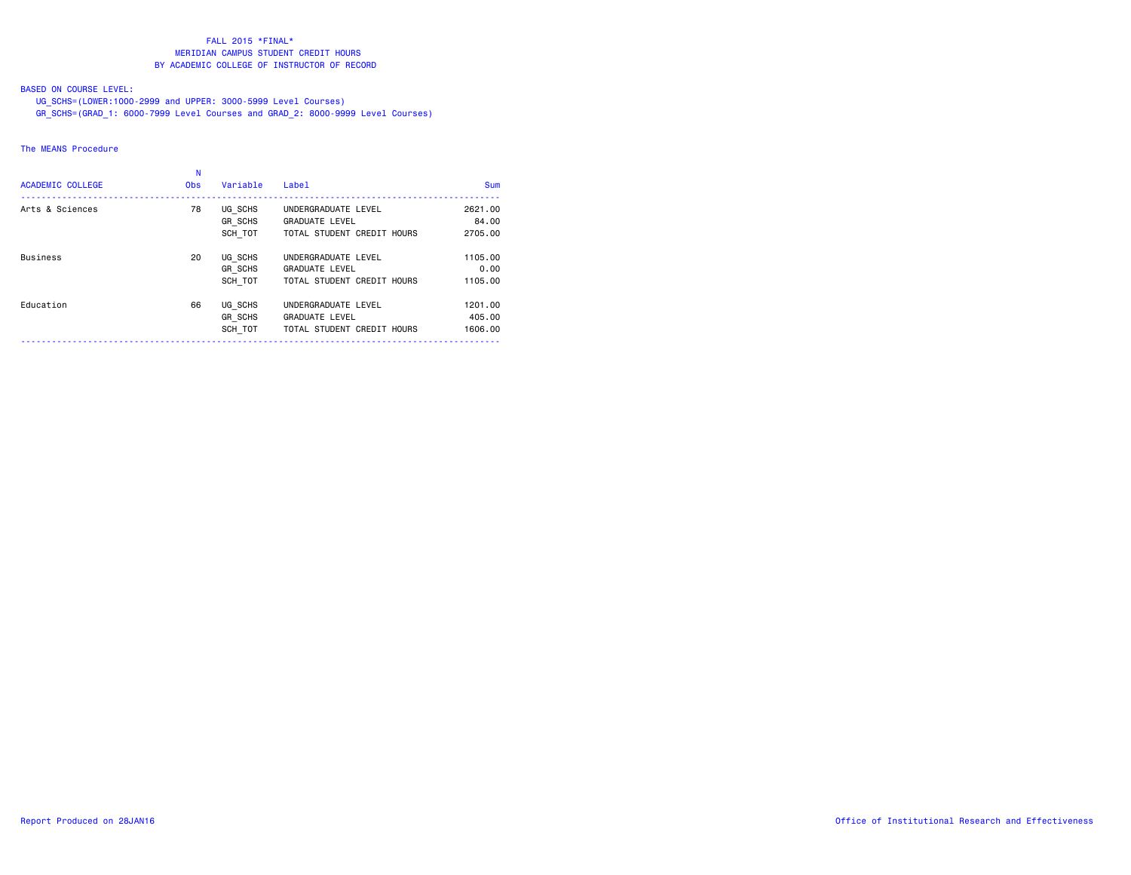### BASED ON COURSE LEVEL:

UG\_SCHS=(LOWER:1000-2999 and UPPER: 3000-5999 Level Courses)

GR\_SCHS=(GRAD\_1: 6000-7999 Level Courses and GRAD\_2: 8000-9999 Level Courses)

# The MEANS Procedure

| <b>ACADEMIC COLLEGE</b> | <b>Obs</b> | Variable                      | Label                                                                      | <b>Sum</b>                   |
|-------------------------|------------|-------------------------------|----------------------------------------------------------------------------|------------------------------|
| Arts & Sciences         | 78         | UG SCHS<br>GR SCHS<br>SCH TOT | UNDERGRADUATE LEVEL<br><b>GRADUATE LEVEL</b><br>TOTAL STUDENT CREDIT HOURS | 2621,00<br>84.00<br>2705.00  |
| <b>Business</b>         | 20         | UG SCHS<br>GR_SCHS<br>SCH TOT | UNDERGRADUATE LEVEL<br><b>GRADUATE LEVEL</b><br>TOTAL STUDENT CREDIT HOURS | 1105.00<br>0.00<br>1105.00   |
| Education               | 66         | UG SCHS<br>GR SCHS<br>SCH TOT | UNDERGRADUATE LEVEL<br><b>GRADUATE LEVEL</b><br>TOTAL STUDENT CREDIT HOURS | 1201.00<br>405,00<br>1606.00 |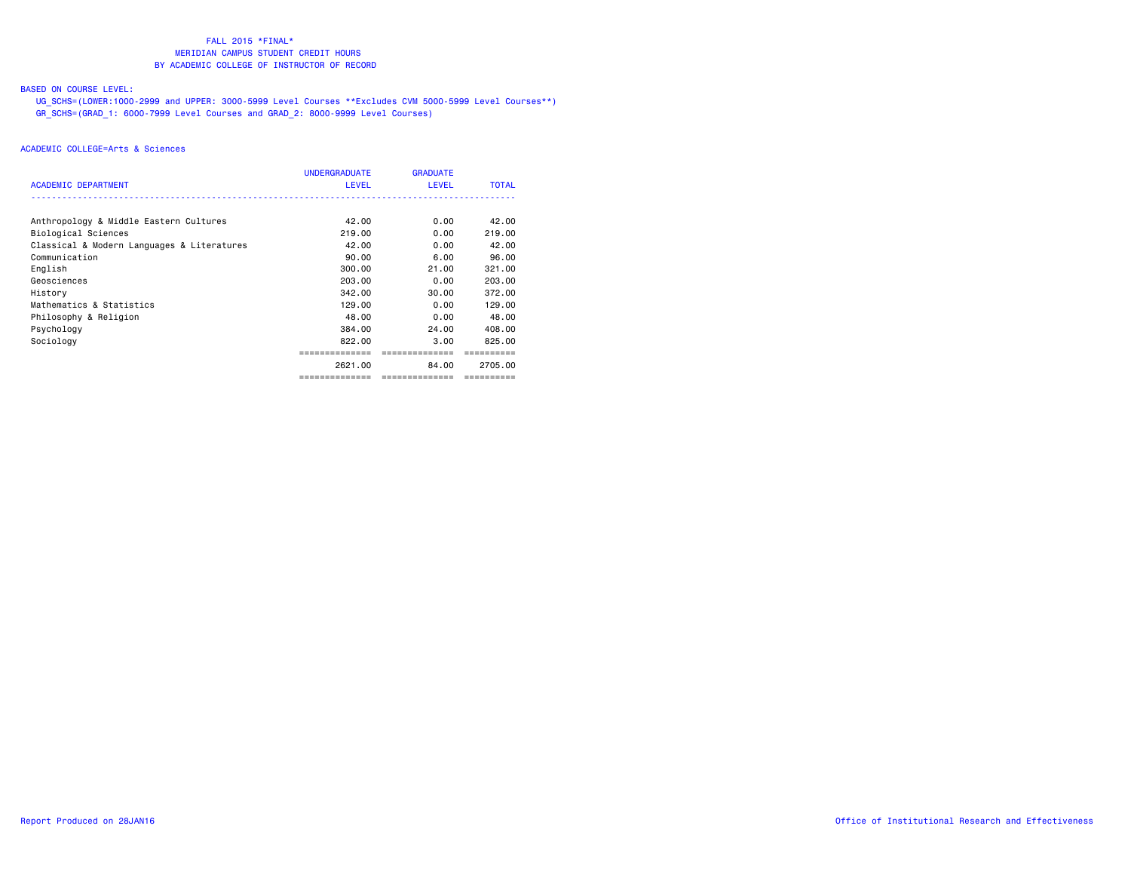### BASED ON COURSE LEVEL:

 UG\_SCHS=(LOWER:1000-2999 and UPPER: 3000-5999 Level Courses \*\*Excludes CVM 5000-5999 Level Courses\*\*) GR\_SCHS=(GRAD\_1: 6000-7999 Level Courses and GRAD\_2: 8000-9999 Level Courses)

| <b>ACADEMIC DEPARTMENT</b>                 | <b>UNDERGRADUATE</b><br><b>LEVEL</b> | <b>GRADUATE</b><br>LEVEL | <b>TOTAL</b> |
|--------------------------------------------|--------------------------------------|--------------------------|--------------|
|                                            |                                      |                          |              |
| Anthropology & Middle Eastern Cultures     | 42.00                                | 0.00                     | 42.00        |
| Biological Sciences                        | 219,00                               | 0.00                     | 219,00       |
| Classical & Modern Languages & Literatures | 42.00                                | 0.00                     | 42.00        |
| Communication                              | 90.00                                | 6.00                     | 96.00        |
| English                                    | 300,00                               | 21.00                    | 321,00       |
| Geosciences                                | 203,00                               | 0.00                     | 203,00       |
| History                                    | 342.00                               | 30.00                    | 372.00       |
| Mathematics & Statistics                   | 129,00                               | 0.00                     | 129,00       |
| Philosophy & Religion                      | 48.00                                | 0.00                     | 48.00        |
| Psychology                                 | 384,00                               | 24.00                    | 408,00       |
| Sociology                                  | 822,00                               | 3.00                     | 825,00       |
|                                            |                                      | ===========              |              |
|                                            | 2621.00                              | 84.00                    | 2705.00      |
|                                            | ==============                       | ==============           | ==========   |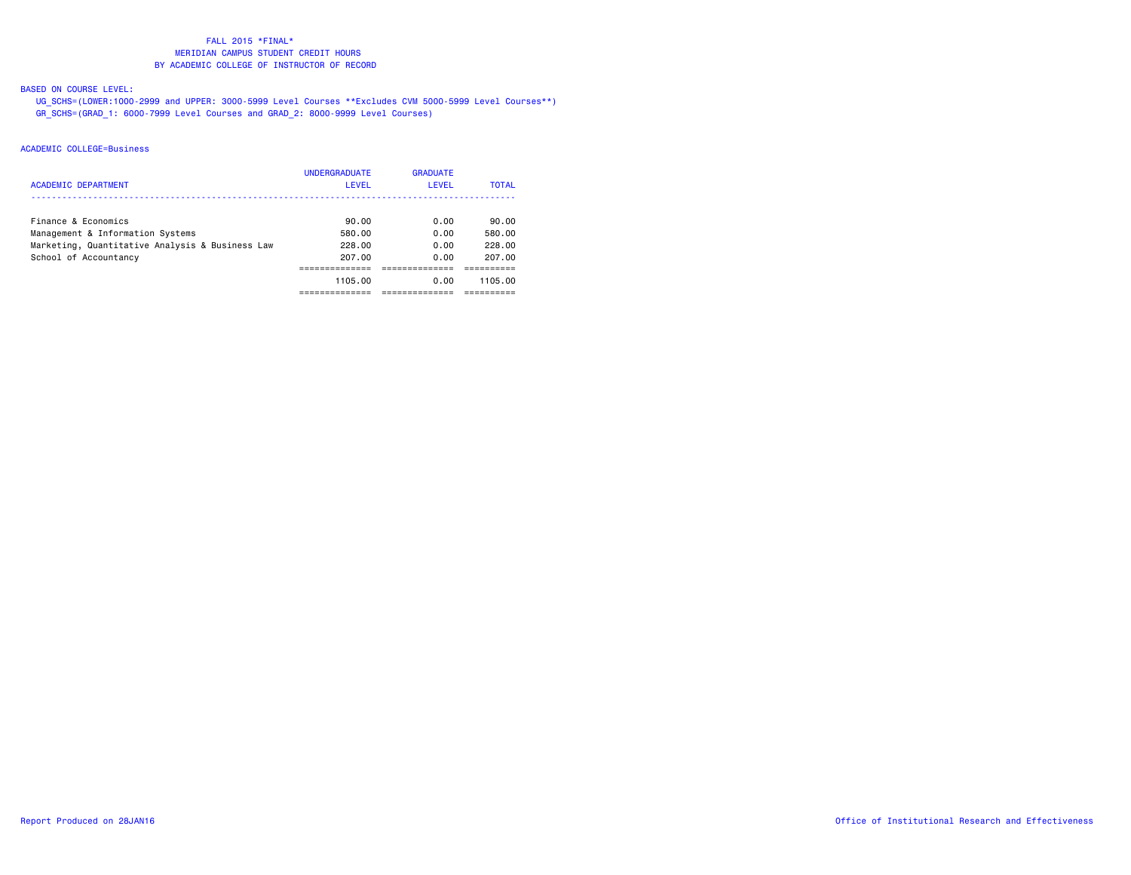### BASED ON COURSE LEVEL:

 UG\_SCHS=(LOWER:1000-2999 and UPPER: 3000-5999 Level Courses \*\*Excludes CVM 5000-5999 Level Courses\*\*) GR\_SCHS=(GRAD\_1: 6000-7999 Level Courses and GRAD\_2: 8000-9999 Level Courses)

| ACADEMIC DEPARTMENT                             | <b>UNDERGRADUATE</b><br>LEVEL | <b>GRADUATE</b><br>LEVEL | <b>TOTAL</b> |
|-------------------------------------------------|-------------------------------|--------------------------|--------------|
| Finance & Economics                             | 90.00                         | 0.00                     | 90.00        |
| Management & Information Systems                | 580.00                        | 0.00                     | 580.00       |
| Marketing, Quantitative Analysis & Business Law | 228.00                        | 0.00                     | 228.00       |
| School of Accountancy                           | 207.00                        | 0.00                     | 207.00       |
|                                                 |                               |                          |              |
|                                                 | 1105.00                       | 0.00                     | 1105.00      |
|                                                 |                               |                          |              |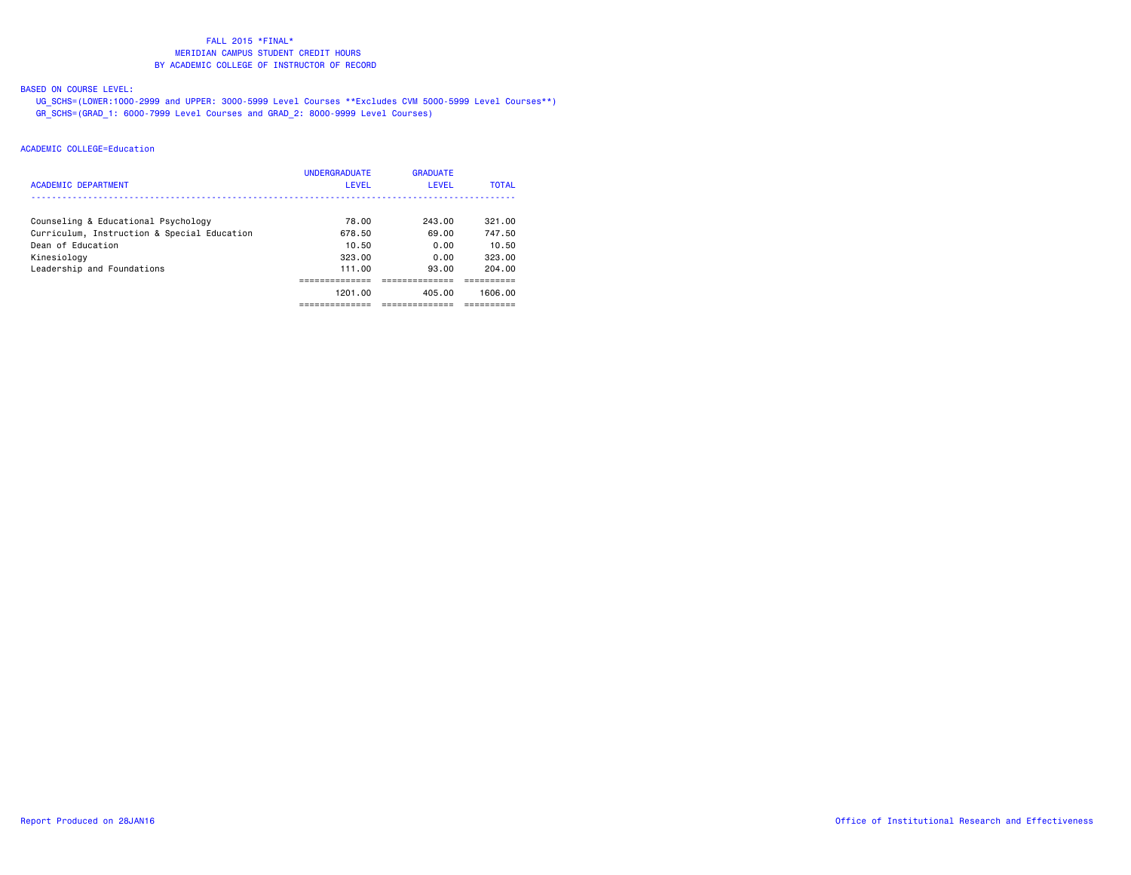### BASED ON COURSE LEVEL:

 UG\_SCHS=(LOWER:1000-2999 and UPPER: 3000-5999 Level Courses \*\*Excludes CVM 5000-5999 Level Courses\*\*) GR\_SCHS=(GRAD\_1: 6000-7999 Level Courses and GRAD\_2: 8000-9999 Level Courses)

| <b>ACADEMIC DEPARTMENT</b>                  | <b>UNDERGRADUATE</b><br>LEVEL | <b>GRADUATE</b><br>LEVEL | <b>TOTAL</b> |
|---------------------------------------------|-------------------------------|--------------------------|--------------|
| Counseling & Educational Psychology         | 78.00                         | 243.00                   | 321.00       |
| Curriculum, Instruction & Special Education | 678.50                        | 69.00                    | 747.50       |
| Dean of Education                           | 10.50                         | 0.00                     | 10.50        |
| Kinesiology                                 | 323.00                        | 0.00                     | 323.00       |
| Leadership and Foundations                  | 111.00                        | 93.00                    | 204.00       |
|                                             |                               |                          |              |
|                                             | 1201.00                       | 405.00                   | 1606.00      |
|                                             |                               |                          |              |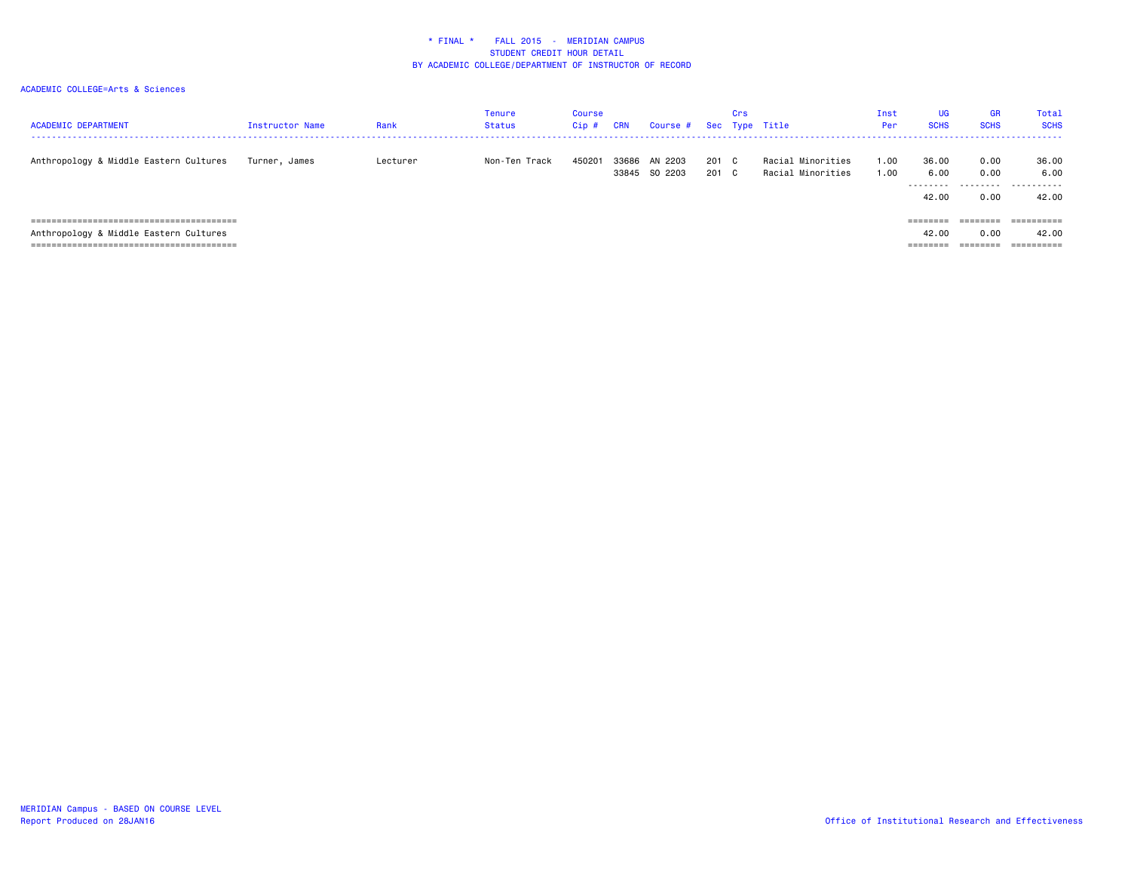| <b>ACADEMIC DEPARTMENT</b>             | Instructor Name | Rank     | <b>Tenure</b><br><b>Status</b> | Course<br>Cip# | <b>CRN</b> | Course # Sec Type Title  |                | Crs |                                        | Inst<br>Per  | UG<br><b>SCHS</b>                   | <b>GR</b><br><b>SCHS</b> | <b>Total</b><br><b>SCHS</b> |
|----------------------------------------|-----------------|----------|--------------------------------|----------------|------------|--------------------------|----------------|-----|----------------------------------------|--------------|-------------------------------------|--------------------------|-----------------------------|
| Anthropology & Middle Eastern Cultures | Turner. James   | Lecturer | Non-Ten Track                  | 450201         | 33845      | 33686 AN 2203<br>SO 2203 | 201 C<br>201 C |     | Racial Minorities<br>Racial Minorities | 1.00<br>1.00 | 36.00<br>6.00<br>---------<br>42.00 | 0.00<br>0.00<br>0.00     | 36.00<br>6.00<br>.<br>42.00 |
|                                        |                 |          |                                |                |            |                          |                |     |                                        |              | ========                            | ========                 | ==========                  |
| Anthropology & Middle Eastern Cultures |                 |          |                                |                |            |                          |                |     |                                        |              | 42.00                               | 0.00                     | 42.00                       |
|                                        |                 |          |                                |                |            |                          |                |     |                                        |              | =======                             |                          | ==========                  |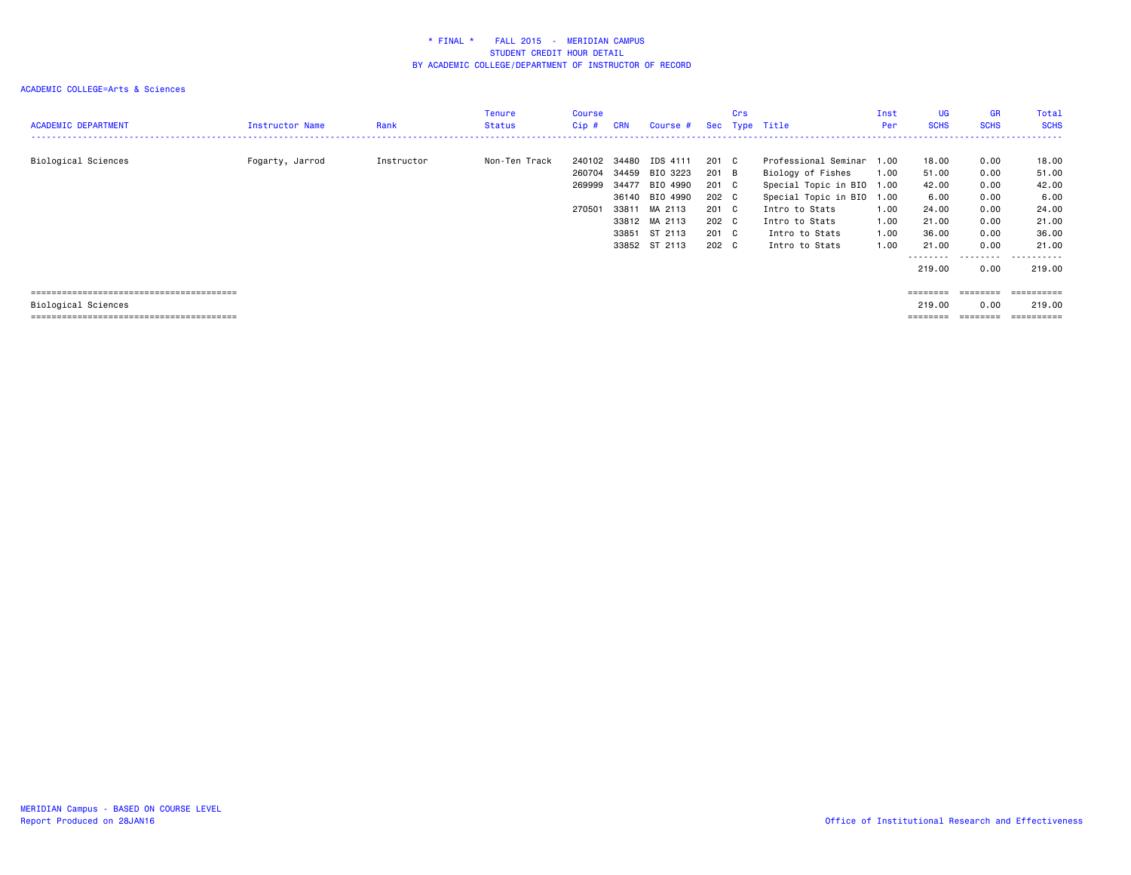| <b>ACADEMIC DEPARTMENT</b> | Instructor Name | Rank       | <b>Tenure</b><br><b>Status</b> | Course<br>$Cip$ #                    | <b>CRN</b>                                | Course #                                                                                                   | Sec                                                                | Crs | Type Title                                                                                                                                                             | Inst<br>Per                                          | <b>UG</b><br><b>SCHS</b>                                                      | <b>GR</b><br><b>SCHS</b>                                                          | Total<br><b>SCHS</b><br>.                                                               |
|----------------------------|-----------------|------------|--------------------------------|--------------------------------------|-------------------------------------------|------------------------------------------------------------------------------------------------------------|--------------------------------------------------------------------|-----|------------------------------------------------------------------------------------------------------------------------------------------------------------------------|------------------------------------------------------|-------------------------------------------------------------------------------|-----------------------------------------------------------------------------------|-----------------------------------------------------------------------------------------|
| Biological Sciences        | Fogarty, Jarrod | Instructor | Non-Ten Track                  | 240102<br>260704<br>269999<br>270501 | 34480<br>34459<br>34477<br>33811<br>33851 | IDS 4111<br>BIO 3223<br>BIO 4990<br>36140 BIO 4990<br>MA 2113<br>33812 MA 2113<br>ST 2113<br>33852 ST 2113 | 201 C<br>201<br>201 C<br>202 C<br>201 C<br>202 C<br>201 C<br>202 C | B   | Professional Seminar<br>Biology of Fishes<br>Special Topic in BIO 1.00<br>Special Topic in BIO<br>Intro to Stats<br>Intro to Stats<br>Intro to Stats<br>Intro to Stats | 1.00<br>1.00<br>1.00<br>1.00<br>1.00<br>1.00<br>1.00 | 18.00<br>51.00<br>42.00<br>6.00<br>24.00<br>21.00<br>36.00<br>21.00<br>219,00 | 0.00<br>0.00<br>0.00<br>0.00<br>0.00<br>0.00<br>0.00<br>0.00<br>---------<br>0.00 | 18.00<br>51.00<br>42.00<br>6.00<br>24.00<br>21.00<br>36.00<br>21.00<br>------<br>219.00 |
| Biological Sciences        |                 |            |                                |                                      |                                           |                                                                                                            |                                                                    |     |                                                                                                                                                                        |                                                      | ========<br>219,00<br>========                                                | ========<br>0.00<br>$=$ = = = = = = =                                             | ==========<br>219,00<br>==========                                                      |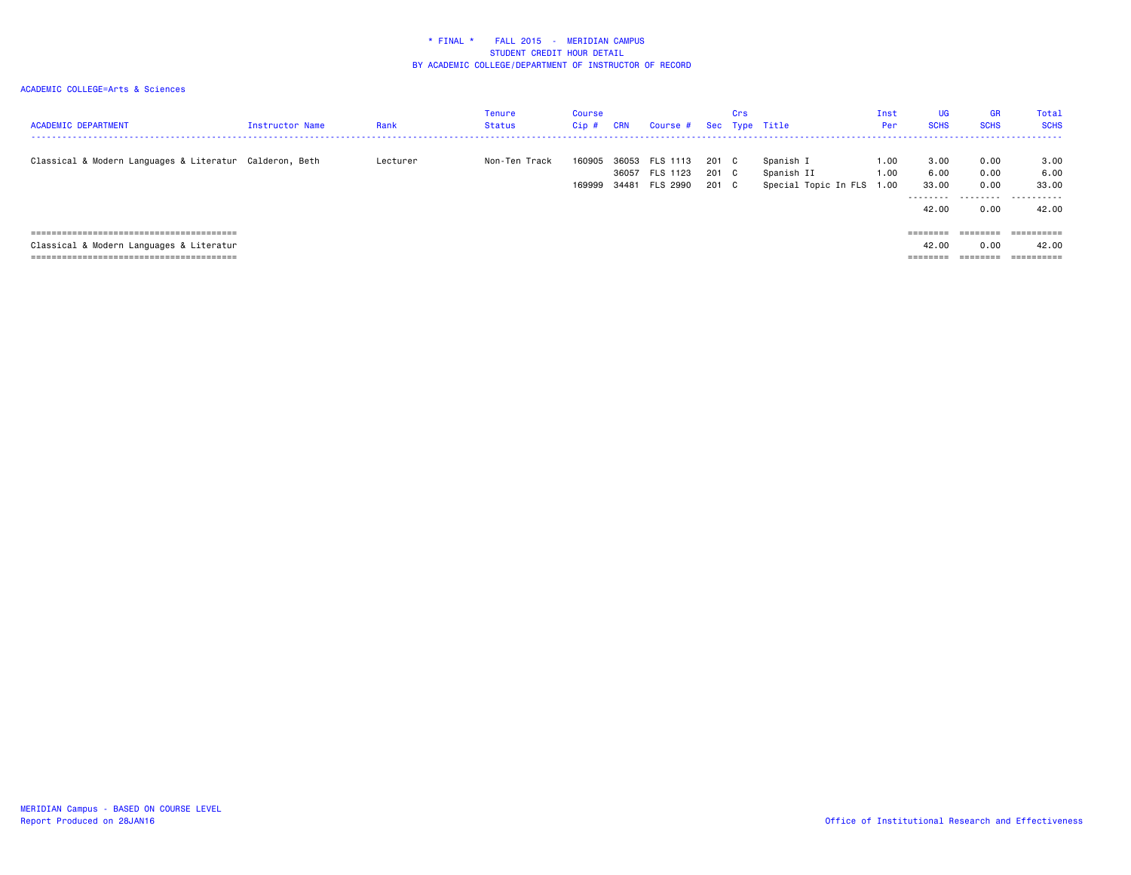### ACADEMIC COLLEGE=Arts & Sciences

| <b>ACADEMIC DEPARTMENT</b>                              | <b>Instructor Name</b> | Rank     | <b>Tenure</b><br><b>Status</b> | Course<br>$Cip$ # | <b>CRN</b> | Course #                                           |                         | Crs | Sec Type Title                                       | Inst<br>Per  | UG<br><b>SCHS</b>              | <b>GR</b><br><b>SCHS</b>         | Total<br><b>SCHS</b>                            |
|---------------------------------------------------------|------------------------|----------|--------------------------------|-------------------|------------|----------------------------------------------------|-------------------------|-----|------------------------------------------------------|--------------|--------------------------------|----------------------------------|-------------------------------------------------|
| Classical & Modern Languages & Literatur Calderon, Beth |                        | Lecturer | Non-Ten Track                  | 160905<br>169999  |            | 36053 FLS 1113<br>36057 FLS 1123<br>34481 FLS 2990 | 201 C<br>201 C<br>201 C |     | Spanish I<br>Spanish II<br>Special Topic In FLS 1.00 | 1.00<br>1.00 | 3,00<br>6.00<br>33,00<br>42.00 | 0.00<br>0.00<br>0.00<br><br>0.00 | 3.00<br>6.00<br>33.00<br>- - - - - - -<br>42.00 |
|                                                         |                        |          |                                |                   |            |                                                    |                         |     |                                                      |              | ========                       | ========                         | ==========                                      |
| Classical & Modern Languages & Literatur                |                        |          |                                |                   |            |                                                    |                         |     |                                                      |              | 42.00                          | 0.00                             | 42.00                                           |

======================================== ======== ======== ==========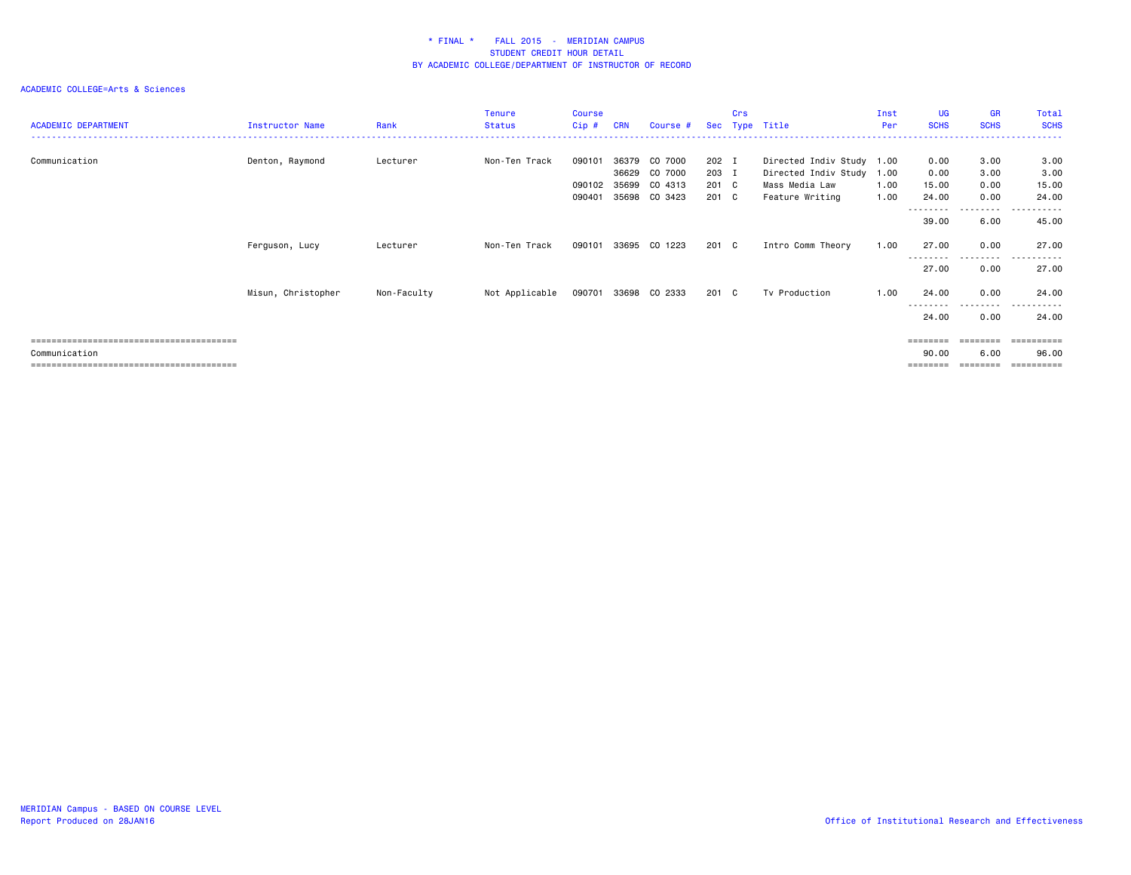| <b>ACADEMIC DEPARTMENT</b> | Instructor Name    | Rank        | <b>Tenure</b><br><b>Status</b> | Course<br>$Cip$ # | <b>CRN</b>     | Course #             |                | Crs | Sec Type Title                                         | Inst<br>Per  | <b>UG</b><br><b>SCHS</b> | <b>GR</b><br><b>SCHS</b> | Total<br><b>SCHS</b>    |
|----------------------------|--------------------|-------------|--------------------------------|-------------------|----------------|----------------------|----------------|-----|--------------------------------------------------------|--------------|--------------------------|--------------------------|-------------------------|
| Communication              | Denton, Raymond    | Lecturer    | Non-Ten Track                  | 090101            | 36379<br>36629 | CO 7000<br>CO 7000   | 202 I<br>203 I |     | Directed Indiv Study 1.00<br>Directed Indiv Study 1.00 |              | 0.00<br>0.00             | 3.00<br>3.00             | 3.00<br>3.00            |
|                            |                    |             |                                | 090102<br>090401  | 35699<br>35698 | CO 4313<br>CO 3423   | 201 C<br>201 C |     | Mass Media Law<br>Feature Writing                      | 1.00<br>1.00 | 15.00<br>24.00           | 0.00<br>0.00             | 15.00<br>24.00          |
|                            |                    |             |                                |                   |                |                      |                |     |                                                        |              | ---------<br>39.00       | ---------<br>6.00        | .<br>----<br>45.00      |
|                            | Ferguson, Lucy     | Lecturer    | Non-Ten Track                  | 090101            | 33695          | CO 1223              | 201 C          |     | Intro Comm Theory                                      | 1.00         | 27.00<br>---------       | 0.00<br>---------        | 27.00<br>------<br>---- |
|                            |                    |             |                                |                   |                |                      |                |     |                                                        |              | 27.00                    | 0.00                     | 27.00                   |
|                            | Misun, Christopher | Non-Faculty | Not Applicable                 |                   |                | 090701 33698 CO 2333 | 201 C          |     | Tv Production                                          | 1.00         | 24.00                    | 0.00<br>$\cdots$         | 24.00<br>$ -$<br>.      |
|                            |                    |             |                                |                   |                |                      |                |     |                                                        |              | 24.00                    | 0.00                     | 24.00                   |
| Communication              |                    |             |                                |                   |                |                      |                |     |                                                        |              | ========<br>90.00        | ========<br>6.00         | 96.00<br>------         |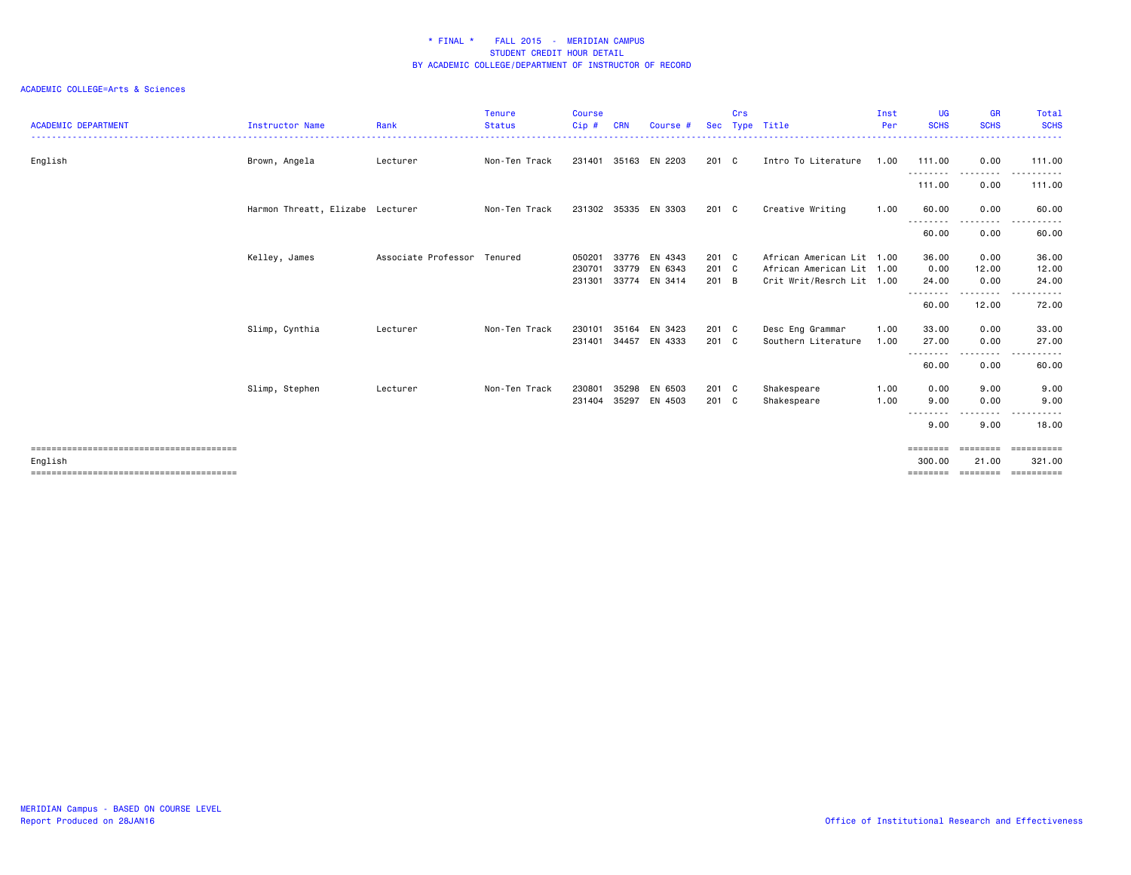| <b>ACADEMIC DEPARTMENT</b> | <b>Instructor Name</b>           | Rank                        | <b>Tenure</b><br><b>Status</b> | Course<br>Cip# | CRN   | Course #             | <b>Sec</b>    | Crs | Type Title                | Inst<br>Per | <b>UG</b><br><b>SCHS</b>     | <b>GR</b><br><b>SCHS</b>                                                                                                          | Total<br><b>SCHS</b><br>------ |
|----------------------------|----------------------------------|-----------------------------|--------------------------------|----------------|-------|----------------------|---------------|-----|---------------------------|-------------|------------------------------|-----------------------------------------------------------------------------------------------------------------------------------|--------------------------------|
| English                    | Brown, Angela                    | Lecturer                    | Non-Ten Track                  | 231401         | 35163 | EN 2203              | 201 C         |     | Intro To Literature       | 1.00        | 111.00<br>--------- <b>-</b> | 0.00<br>.                                                                                                                         | 111.00<br>.                    |
|                            |                                  |                             |                                |                |       |                      |               |     |                           |             | 111.00                       | 0.00                                                                                                                              | 111.00                         |
|                            | Harmon Threatt, Elizabe Lecturer |                             | Non-Ten Track                  |                |       | 231302 35335 EN 3303 | $201 \quad C$ |     | Creative Writing          | 1.00        | 60.00                        | 0.00                                                                                                                              | 60.00                          |
|                            |                                  |                             |                                |                |       |                      |               |     |                           |             | 60.00                        | $- - - -$<br>0.00                                                                                                                 | 60.00                          |
|                            | Kelley, James                    | Associate Professor Tenured |                                | 050201         |       | 33776 EN 4343        | 201 C         |     | African American Lit 1.00 |             | 36.00                        | 0.00                                                                                                                              | 36.00                          |
|                            |                                  |                             |                                | 230701         | 33779 | EN 6343              | 201 C         |     | African American Lit 1.00 |             | 0.00                         | 12.00                                                                                                                             | 12.00                          |
|                            |                                  |                             |                                | 231301         |       | 33774 EN 3414        | 201 B         |     | Crit Writ/Resrch Lit 1.00 |             | 24.00<br><u>.</u>            | 0.00<br><u>.</u>                                                                                                                  | 24.00<br>.                     |
|                            |                                  |                             |                                |                |       |                      |               |     |                           |             | 60.00                        | 12.00                                                                                                                             | 72.00                          |
|                            | Slimp, Cynthia                   | Lecturer                    | Non-Ten Track                  | 230101         | 35164 | EN 3423              | 201 C         |     | Desc Eng Grammar          | 1.00        | 33.00                        | 0.00                                                                                                                              | 33.00                          |
|                            |                                  |                             |                                | 231401         | 34457 | EN 4333              | 201 C         |     | Southern Literature       | 1.00        | 27.00                        | 0.00                                                                                                                              | 27.00                          |
|                            |                                  |                             |                                |                |       |                      |               |     |                           |             | ---------<br>60.00           | . <b>.</b><br>0.00                                                                                                                | .<br>60.00                     |
|                            | Slimp, Stephen                   | Lecturer                    | Non-Ten Track                  | 230801         | 35298 | EN 6503              | 201 C         |     | Shakespeare               | 1.00        | 0.00                         | 9.00                                                                                                                              | 9.00                           |
|                            |                                  |                             |                                | 231404 35297   |       | EN 4503              | 201 C         |     | Shakespeare               | 1.00        | 9.00                         | 0.00                                                                                                                              | 9.00                           |
|                            |                                  |                             |                                |                |       |                      |               |     |                           |             | --------<br>9.00             | $\frac{1}{2} \left( \frac{1}{2} \right) \left( \frac{1}{2} \right) \left( \frac{1}{2} \right) \left( \frac{1}{2} \right)$<br>9.00 | .<br>18,00                     |
|                            |                                  |                             |                                |                |       |                      |               |     |                           |             | ========                     | ========                                                                                                                          | ==========                     |
| English                    |                                  |                             |                                |                |       |                      |               |     |                           |             | 300,00                       | 21.00                                                                                                                             | 321.00                         |
|                            |                                  |                             |                                |                |       |                      |               |     |                           |             |                              |                                                                                                                                   | ==========                     |
|                            |                                  |                             |                                |                |       |                      |               |     |                           |             |                              |                                                                                                                                   |                                |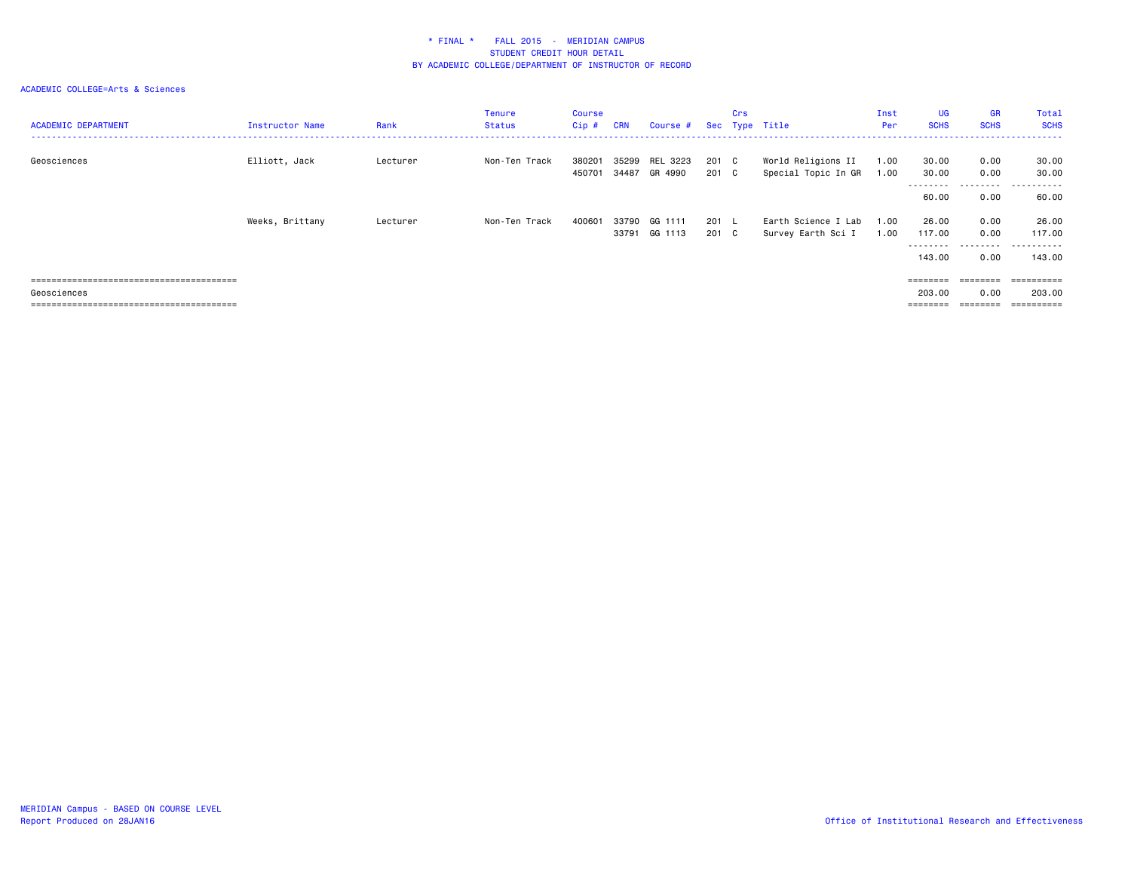| <b>ACADEMIC DEPARTMENT</b> | <b>Instructor Name</b> | Rank     | <b>Tenure</b><br><b>Status</b> | Course<br>Cip #  | <b>CRN</b> | Course #                  |                        | Crs | Sec Type Title                            | Inst<br>Per  | <b>UG</b><br><b>SCHS</b>                                                          | <b>GR</b><br><b>SCHS</b> | Total<br><b>SCHS</b>            |
|----------------------------|------------------------|----------|--------------------------------|------------------|------------|---------------------------|------------------------|-----|-------------------------------------------|--------------|-----------------------------------------------------------------------------------|--------------------------|---------------------------------|
| Geosciences                | Elliott, Jack          | Lecturer | Non-Ten Track                  | 380201<br>450701 | 35299      | REL 3223<br>34487 GR 4990 | 201 C<br>201 C         |     | World Religions II<br>Special Topic In GR | 1.00<br>1.00 | 30.00<br>30.00                                                                    | 0.00<br>0.00             | 30.00<br>30.00                  |
|                            |                        |          |                                |                  |            |                           |                        |     |                                           |              | ---------<br>60.00                                                                | .<br>0.00                | ------<br>$- - -$<br>60.00      |
|                            | Weeks, Brittany        | Lecturer | Non-Ten Track                  | 400601           | 33790      | GG 1111<br>33791 GG 1113  | $201 \quad L$<br>201 C |     | Earth Science I Lab<br>Survey Earth Sci I | 1.00<br>1.00 | 26.00<br>117.00<br>---------                                                      | 0.00<br>0.00<br>.        | 26.00<br>117.00<br>. <u>.</u> . |
|                            |                        |          |                                |                  |            |                           |                        |     |                                           |              | 143.00                                                                            | 0.00                     | 143,00                          |
|                            |                        |          |                                |                  |            |                           |                        |     |                                           |              | ========                                                                          | ========                 | -----------                     |
| Geosciences                |                        |          |                                |                  |            |                           |                        |     |                                           |              | 203.00<br>$\qquad \qquad \equiv \equiv \equiv \equiv \equiv \equiv \equiv \equiv$ | 0.00<br>---------        | 203,00<br>==========            |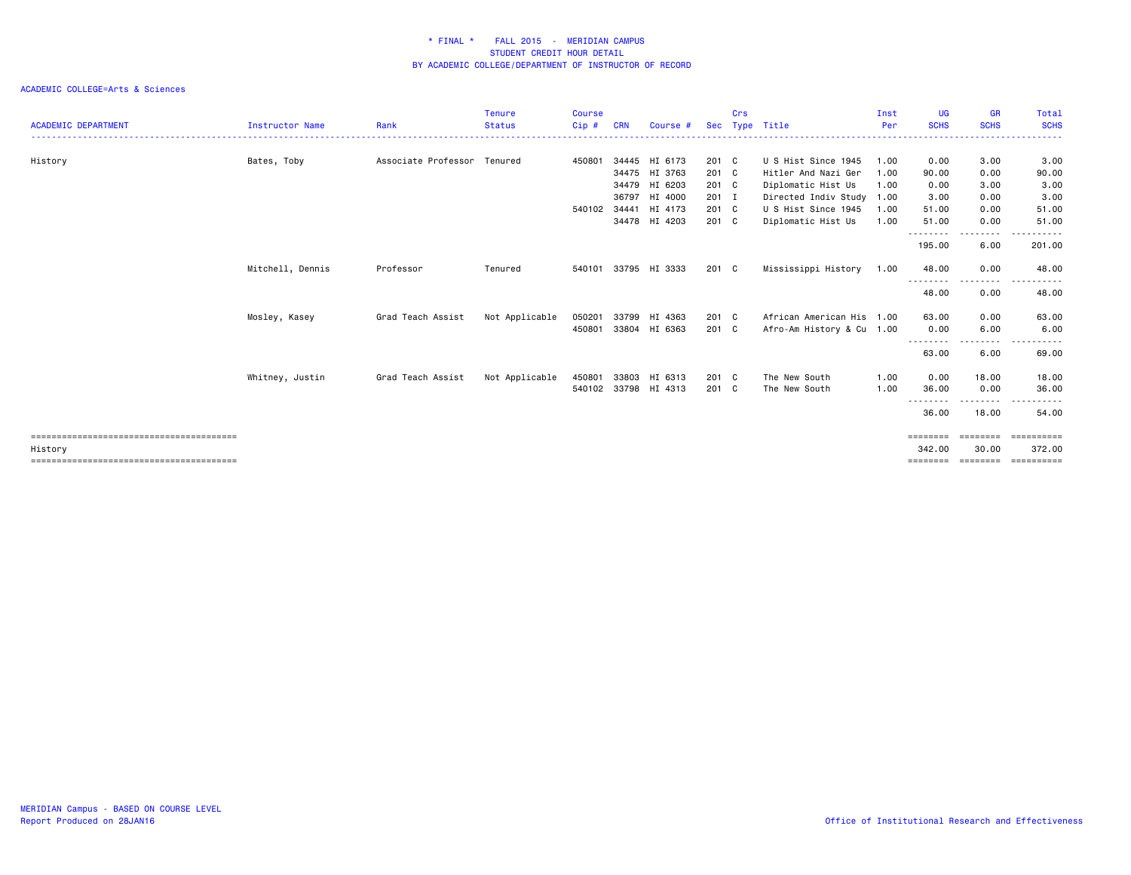|                            |                  |                             | <b>Tenure</b>  | <b>Course</b> |            |                      |            | Crs |                           | Inst | <b>UG</b>         | <b>GR</b>   | <b>Total</b> |
|----------------------------|------------------|-----------------------------|----------------|---------------|------------|----------------------|------------|-----|---------------------------|------|-------------------|-------------|--------------|
| <b>ACADEMIC DEPARTMENT</b> | Instructor Name  | Rank                        | <b>Status</b>  | Cip#          | <b>CRN</b> | Course #             | <b>Sec</b> |     | Type Title                | Per  | <b>SCHS</b>       | <b>SCHS</b> | <b>SCHS</b>  |
|                            |                  |                             |                |               |            |                      |            |     |                           |      |                   |             |              |
| History                    | Bates, Toby      | Associate Professor Tenured |                | 450801        |            | 34445 HI 6173        | 201 C      |     | U S Hist Since 1945       | 1.00 | 0.00              | 3.00        | 3.00         |
|                            |                  |                             |                |               |            | 34475 HI 3763        | 201 C      |     | Hitler And Nazi Ger       | 1.00 | 90.00             | 0.00        | 90.00        |
|                            |                  |                             |                |               | 34479      | HI 6203              | 201 C      |     | Diplomatic Hist Us        | 1.00 | 0.00              | 3.00        | 3.00         |
|                            |                  |                             |                |               |            | 36797 HI 4000        | 201 I      |     | Directed Indiv Study      | 1.00 | 3.00              | 0.00        | 3.00         |
|                            |                  |                             |                | 540102        | 34441      | HI 4173              | 201 C      |     | U S Hist Since 1945       | 1.00 | 51.00             | 0.00        | 51.00        |
|                            |                  |                             |                |               |            | 34478 HI 4203        | 201 C      |     | Diplomatic Hist Us        | 1.00 | 51.00<br>.        | 0.00<br>.   | 51.00        |
|                            |                  |                             |                |               |            |                      |            |     |                           |      | 195.00            | 6.00        | 201.00       |
|                            | Mitchell, Dennis | Professor                   | Tenured        | 540101        |            | 33795 HI 3333        | 201 C      |     | Mississippi History       | 1.00 | 48.00             | 0.00        | 48.00        |
|                            |                  |                             |                |               |            |                      |            |     |                           |      | 48.00             | 0.00        | 48.00        |
|                            | Mosley, Kasey    | Grad Teach Assist           | Not Applicable | 050201        | 33799      | HI 4363              | 201 C      |     | African American His 1.00 |      | 63.00             | 0.00        | 63.00        |
|                            |                  |                             |                | 450801        |            | 33804 HI 6363        | 201 C      |     | Afro-Am History & Cu 1.00 |      | 0.00              | 6.00        | 6.00         |
|                            |                  |                             |                |               |            |                      |            |     |                           |      | 63.00             | 6.00        | 69.00        |
|                            | Whitney, Justin  | Grad Teach Assist           | Not Applicable | 450801        | 33803      | HI 6313              | 201 C      |     | The New South             | 1.00 | 0.00              | 18.00       | 18.00        |
|                            |                  |                             |                |               |            | 540102 33798 HI 4313 | 201 C      |     | The New South             | 1.00 | 36.00             | 0.00        | 36.00        |
|                            |                  |                             |                |               |            |                      |            |     |                           |      | .<br>36.00        | .<br>18.00  | 54.00        |
|                            |                  |                             |                |               |            |                      |            |     |                           |      | ========          | ========    | -----------  |
| History                    |                  |                             |                |               |            |                      |            |     |                           |      | 342.00            | 30.00       | 372.00       |
|                            |                  |                             |                |               |            |                      |            |     |                           |      | $=$ = = = = = = = | ========    | -----------  |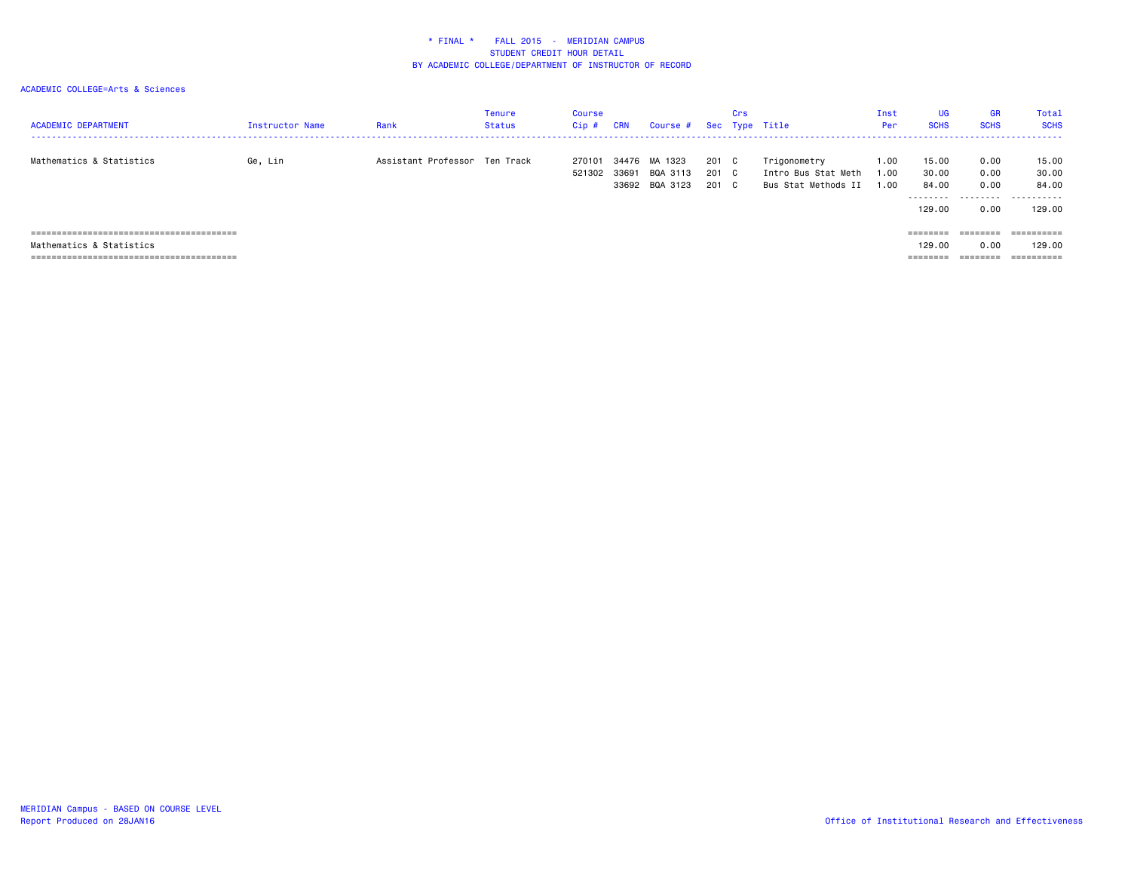| <b>ACADEMIC DEPARTMENT</b> | Instructor Name | Rank                          | Tenure<br>Status | Course<br>$Cip$ # | <b>CRN</b>     | Course #                              |                   | Crs           | Sec Type Title                                             | Inst<br>Per        | <b>UG</b><br><b>SCHS</b>               | <b>GR</b><br><b>SCHS</b>          | Total<br><b>SCHS</b>                   |
|----------------------------|-----------------|-------------------------------|------------------|-------------------|----------------|---------------------------------------|-------------------|---------------|------------------------------------------------------------|--------------------|----------------------------------------|-----------------------------------|----------------------------------------|
| Mathematics & Statistics   | Ge, Lin         | Assistant Professor Ten Track |                  | 270101<br>521302  | 34476<br>33691 | MA 1323<br>BQA 3113<br>33692 BQA 3123 | 201<br>201<br>201 | C.<br>C<br>C. | Trigonometry<br>Intro Bus Stat Meth<br>Bus Stat Methods II | 1.00<br>.00<br>.00 | 15.00<br>30.00<br>84.00<br>.<br>129,00 | 0.00<br>0.00<br>0.00<br>.<br>0.00 | 15.00<br>30.00<br>84.00<br>.<br>129.00 |
|                            |                 |                               |                  |                   |                |                                       |                   |               |                                                            |                    | ========                               | ========                          | ==========                             |
| Mathematics & Statistics   |                 |                               |                  |                   |                |                                       |                   |               |                                                            |                    | 129,00                                 | 0.00                              | 129.00                                 |
|                            |                 |                               |                  |                   |                |                                       |                   |               |                                                            |                    | ========                               | --------<br>--------              | $=$ = = = = = = = = =                  |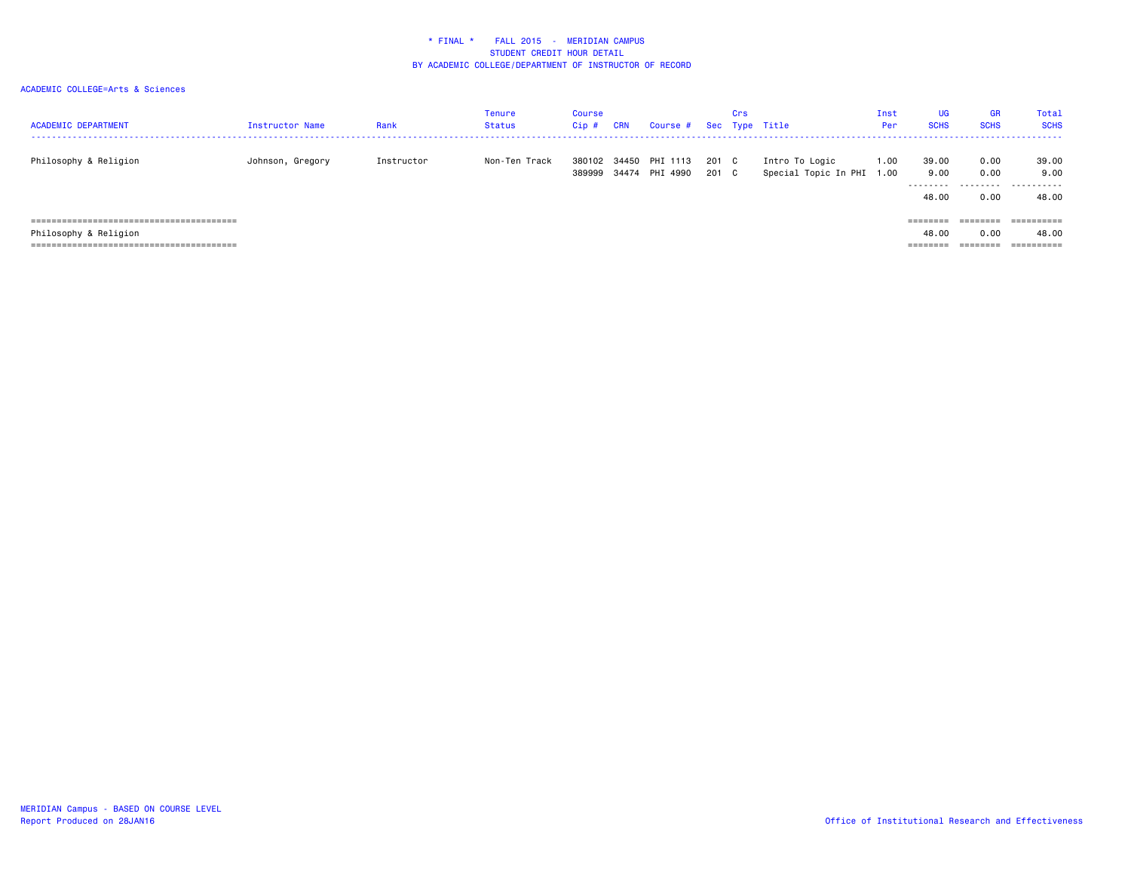| <b>ACADEMIC DEPARTMENT</b> | Instructor Name  | Rank       | Tenure<br>Status | Course<br>Cip#   | <b>CRN</b> | Course #                   |              | Crs | Sec Type Title                              | Inst<br>Per | <b>UG</b><br><b>SCHS</b>    | <b>GR</b><br><b>SCHS</b> | Total<br><b>SCHS</b>        |
|----------------------------|------------------|------------|------------------|------------------|------------|----------------------------|--------------|-----|---------------------------------------------|-------------|-----------------------------|--------------------------|-----------------------------|
| Philosophy & Religion      | Johnson, Gregory | Instructor | Non-Ten Track    | 380102<br>389999 | 34450      | PHI 1113<br>34474 PHI 4990 | 201 C<br>201 | C.  | Intro To Logic<br>Special Topic In PHI 1.00 | 1.00        | 39,00<br>9.00<br>.<br>48,00 | 0.00<br>0.00<br>0.00     | 39.00<br>9.00<br>.<br>48.00 |
|                            |                  |            |                  |                  |            |                            |              |     |                                             |             | ========                    | ========                 | ==========                  |
| Philosophy & Religion      |                  |            |                  |                  |            |                            |              |     |                                             |             | 48.00                       | 0.00                     | 48.00                       |
|                            |                  |            |                  |                  |            |                            |              |     |                                             |             | ---------<br>--------       | --------<br>--------     | ----------<br>----------    |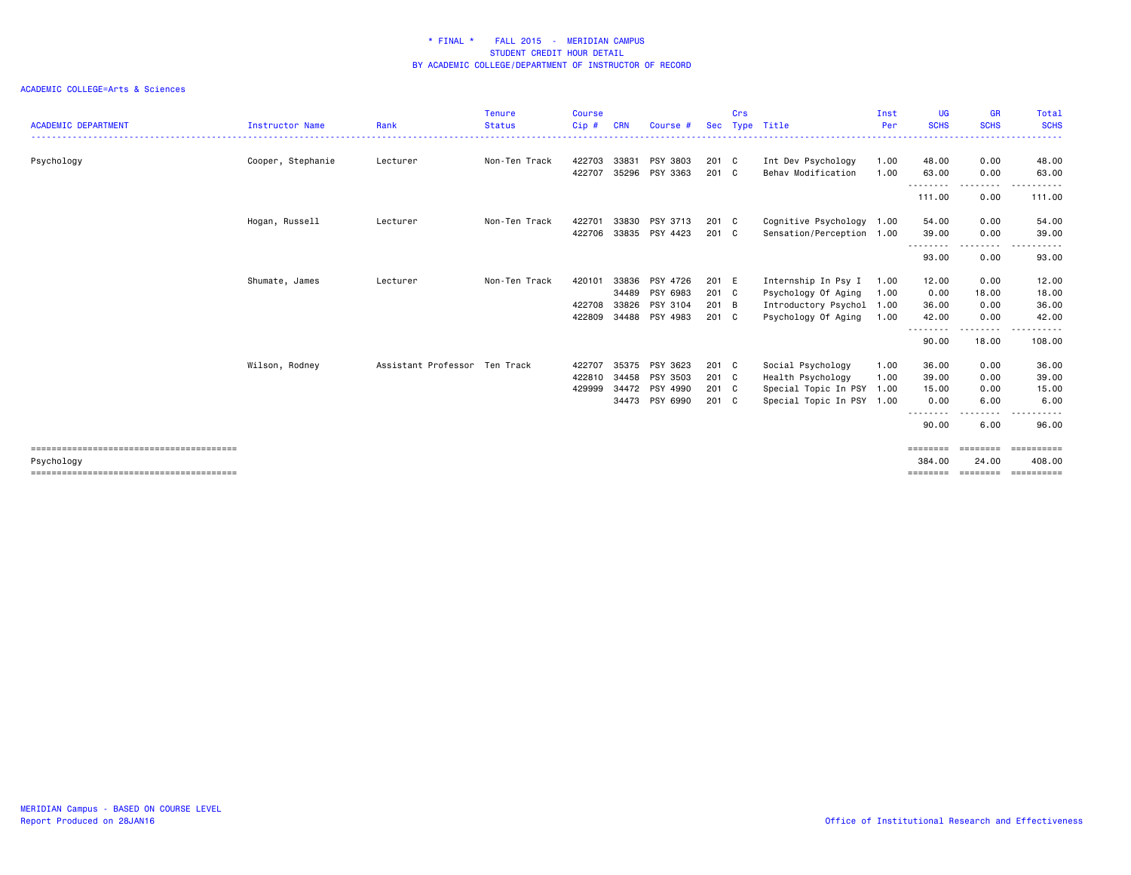| <b>ACADEMIC DEPARTMENT</b> | <b>Instructor Name</b> | Rank                          | <b>Tenure</b><br><b>Status</b> | <b>Course</b><br>Cip# | <b>CRN</b> | Course #       | <b>Sec</b> | Crs<br>Type | Title                     | Inst<br>Per | <b>UG</b><br><b>SCHS</b> | <b>GR</b><br><b>SCHS</b> | Total<br><b>SCHS</b>  |
|----------------------------|------------------------|-------------------------------|--------------------------------|-----------------------|------------|----------------|------------|-------------|---------------------------|-------------|--------------------------|--------------------------|-----------------------|
| Psychology                 | Cooper, Stephanie      | Lecturer                      | Non-Ten Track                  | 422703                | 33831      | PSY 3803       | 201 C      |             | Int Dev Psychology        | 1.00        | 48.00                    | 0.00                     | 48.00                 |
|                            |                        |                               |                                | 422707                | 35296      | PSY 3363       | 201 C      |             | Behav Modification        | 1.00        | 63.00<br>---------       | 0.00<br>---------        | 63.00<br>.            |
|                            |                        |                               |                                |                       |            |                |            |             |                           |             | 111.00                   | 0.00                     | 111.00                |
|                            | Hogan, Russell         | Lecturer                      | Non-Ten Track                  | 422701                | 33830      | PSY 3713       | 201 C      |             | Cognitive Psychology 1.00 |             | 54.00                    | 0.00                     | 54.00                 |
|                            |                        |                               |                                | 422706                |            | 33835 PSY 4423 | 201 C      |             | Sensation/Perception 1.00 |             | 39,00                    | 0.00                     | 39.00                 |
|                            |                        |                               |                                |                       |            |                |            |             |                           |             | --------<br>93.00        | .<br>0.00                | 93.00                 |
|                            | Shumate, James         | Lecturer                      | Non-Ten Track                  | 420101                | 33836      | PSY 4726       | 201 E      |             | Internship In Psy I       | 1.00        | 12.00                    | 0.00                     | 12.00                 |
|                            |                        |                               |                                |                       | 34489      | PSY 6983       | 201 C      |             | Psychology Of Aging       | 1.00        | 0.00                     | 18.00                    | 18.00                 |
|                            |                        |                               |                                | 422708                | 33826      | PSY 3104       | 201 B      |             | Introductory Psychol 1.00 |             | 36.00                    | 0.00                     | 36.00                 |
|                            |                        |                               |                                | 422809                | 34488      | PSY 4983       | 201 C      |             | Psychology Of Aging       | 1.00        | 42.00<br>--------        | 0.00                     | 42.00<br>.            |
|                            |                        |                               |                                |                       |            |                |            |             |                           |             | 90.00                    | ---------<br>18.00       | 108.00                |
|                            | Wilson, Rodney         | Assistant Professor Ten Track |                                | 422707                | 35375      | PSY 3623       | 201 C      |             | Social Psychology         | 1.00        | 36.00                    | 0.00                     | 36.00                 |
|                            |                        |                               |                                | 422810                | 34458      | PSY 3503       | 201 C      |             | Health Psychology         | 1.00        | 39.00                    | 0.00                     | 39.00                 |
|                            |                        |                               |                                | 429999                | 34472      | PSY 4990       | 201 C      |             | Special Topic In PSY 1.00 |             | 15.00                    | 0.00                     | 15.00                 |
|                            |                        |                               |                                |                       |            | 34473 PSY 6990 | 201 C      |             | Special Topic In PSY 1.00 |             | 0.00                     | 6.00                     | 6.00                  |
|                            |                        |                               |                                |                       |            |                |            |             |                           |             | --------<br>90.00        | 6.00                     | 96.00                 |
|                            |                        |                               |                                |                       |            |                |            |             |                           |             |                          |                          | $=$ = = = = = = = = = |
| Psychology                 |                        |                               |                                |                       |            |                |            |             |                           |             | 384.00                   | 24,00                    | 408,00                |
|                            |                        |                               |                                |                       |            |                |            |             |                           |             | ========                 | ========                 | ==========            |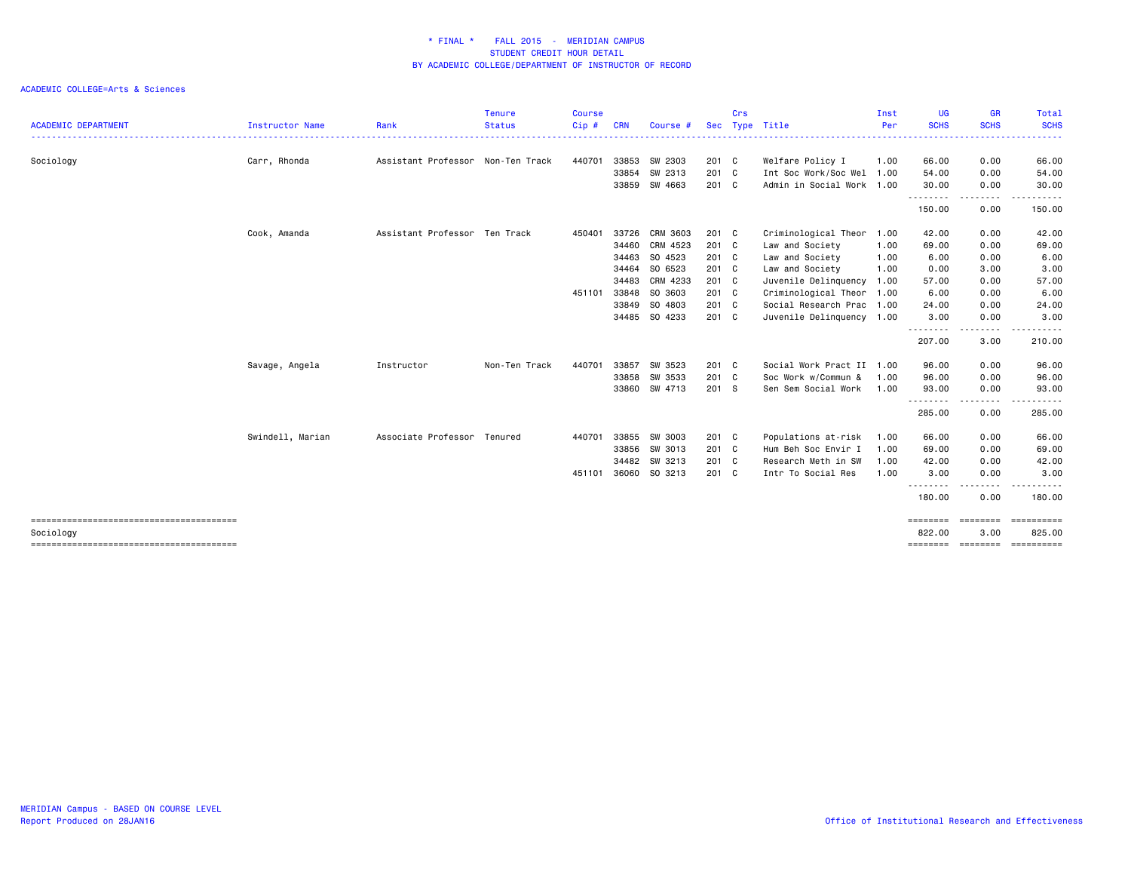|                            |                  |                                   | <b>Tenure</b> | <b>Course</b> |            |          |       | Crs |                           | Inst | UG          | <b>GR</b>             | Total                                   |
|----------------------------|------------------|-----------------------------------|---------------|---------------|------------|----------|-------|-----|---------------------------|------|-------------|-----------------------|-----------------------------------------|
| <b>ACADEMIC DEPARTMENT</b> | Instructor Name  | Rank                              | <b>Status</b> | Cip#          | <b>CRN</b> | Course # | Sec   |     | Type Title                | Per  | <b>SCHS</b> | <b>SCHS</b><br>.      | <b>SCHS</b><br>.                        |
| Sociology                  | Carr, Rhonda     | Assistant Professor Non-Ten Track |               | 440701        | 33853      | SW 2303  | 201 C |     | Welfare Policy I          | 1.00 | 66.00       | 0.00                  | 66.00                                   |
|                            |                  |                                   |               |               | 33854      | SW 2313  | 201 C |     | Int Soc Work/Soc Wel 1.00 |      | 54.00       | 0.00                  | 54.00                                   |
|                            |                  |                                   |               |               | 33859      | SW 4663  | 201 C |     | Admin in Social Work 1.00 |      | 30.00<br>.  | 0.00<br>$\frac{1}{2}$ | 30.00                                   |
|                            |                  |                                   |               |               |            |          |       |     |                           |      | 150.00      | 0.00                  | 150.00                                  |
|                            | Cook, Amanda     | Assistant Professor Ten Track     |               | 450401        | 33726      | CRM 3603 | 201 C |     | Criminological Theor 1.00 |      | 42.00       | 0.00                  | 42.00                                   |
|                            |                  |                                   |               |               | 34460      | CRM 4523 | 201 C |     | Law and Society           | 1.00 | 69.00       | 0.00                  | 69.00                                   |
|                            |                  |                                   |               |               | 34463      | SO 4523  | 201 C |     | Law and Society           | 1.00 | 6.00        | 0.00                  | 6.00                                    |
|                            |                  |                                   |               |               | 34464      | SO 6523  | 201 C |     | Law and Society           | 1.00 | 0.00        | 3.00                  | 3.00                                    |
|                            |                  |                                   |               |               | 34483      | CRM 4233 | 201 C |     | Juvenile Delinquency      | 1.00 | 57.00       | 0.00                  | 57.00                                   |
|                            |                  |                                   |               | 451101        | 33848      | SO 3603  | 201 C |     | Criminological Theor 1.00 |      | 6.00        | 0.00                  | 6.00                                    |
|                            |                  |                                   |               |               | 33849      | SO 4803  | 201 C |     | Social Research Prac 1.00 |      | 24.00       | 0.00                  | 24.00                                   |
|                            |                  |                                   |               |               | 34485      | SO 4233  | 201 C |     | Juvenile Delinquency 1.00 |      | 3.00        | 0.00                  | 3.00                                    |
|                            |                  |                                   |               |               |            |          |       |     |                           |      | .<br>207.00 | - - - -<br>3.00       | 210.00                                  |
|                            | Savage, Angela   | Instructor                        | Non-Ten Track | 440701        | 33857      | SW 3523  | 201 C |     | Social Work Pract II 1.00 |      | 96.00       | 0.00                  | 96.00                                   |
|                            |                  |                                   |               |               | 33858      | SW 3533  | 201 C |     | Soc Work w/Commun &       | 1.00 | 96.00       | 0.00                  | 96.00                                   |
|                            |                  |                                   |               |               | 33860      | SW 4713  | 201 S |     | Sen Sem Social Work       | 1.00 | 93.00       | 0.00                  | 93.00                                   |
|                            |                  |                                   |               |               |            |          |       |     |                           |      | .<br>285.00 | 0.00                  | 285.00                                  |
|                            | Swindell, Marian | Associate Professor Tenured       |               | 440701        | 33855      | SW 3003  | 201 C |     | Populations at-risk       | 1.00 | 66.00       | 0.00                  | 66.00                                   |
|                            |                  |                                   |               |               | 33856      | SW 3013  | 201 C |     | Hum Beh Soc Envir I       | 1.00 | 69.00       | 0.00                  | 69.00                                   |
|                            |                  |                                   |               |               | 34482      | SW 3213  | 201 C |     | Research Meth in SW       | 1.00 | 42.00       | 0.00                  | 42.00                                   |
|                            |                  |                                   |               | 451101        | 36060      | SO 3213  | 201 C |     | Intr To Social Res        | 1.00 | 3.00        | 0.00                  | 3.00                                    |
|                            |                  |                                   |               |               |            |          |       |     |                           |      | 180.00      | 0.00                  | 180.00                                  |
|                            |                  |                                   |               |               |            |          |       |     |                           |      | ========    | <b>EEEEEEE</b>        | <b>ESSESSEES</b>                        |
| Sociology                  |                  |                                   |               |               |            |          |       |     |                           |      | 822.00      | 3,00                  | 825.00<br>============================= |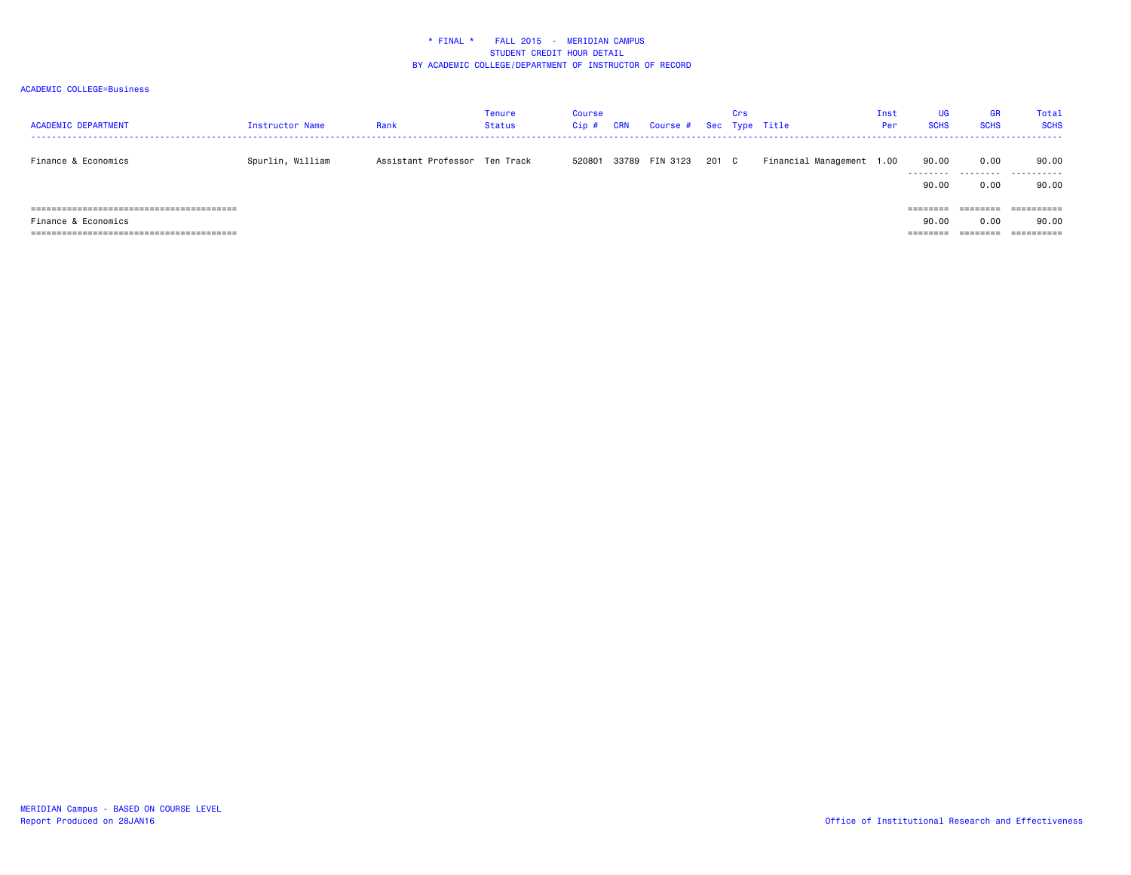| <b>ACADEMIC DEPARTMENT</b> | Instructor Name  | Rank                          | Tenure<br><b>Status</b> | Course<br>Cip# | <b>CRN</b> | Course # Sec Type Title |       | Crs |                           | Inst<br>Per | UG<br><b>SCHS</b> | <b>GR</b><br><b>SCHS</b> | <b>Total</b><br><b>SCHS</b> |
|----------------------------|------------------|-------------------------------|-------------------------|----------------|------------|-------------------------|-------|-----|---------------------------|-------------|-------------------|--------------------------|-----------------------------|
| Finance & Economics        | Spurlin, William | Assistant Professor Ten Track |                         | 520801         |            | 33789 FIN 3123          | 201 C |     | Financial Management 1.00 |             | 90.00<br>.        | 0.00<br>.                | 90.00<br>.                  |
|                            |                  |                               |                         |                |            |                         |       |     |                           |             | 90.00             | 0.00                     | 90.00                       |
| ----------------------     |                  |                               |                         |                |            |                         |       |     |                           |             |                   |                          | eeeeeeee                    |
| Finance & Economics        |                  |                               |                         |                |            |                         |       |     |                           |             | 90.00             | 0.00                     | 90.00                       |
|                            |                  |                               |                         |                |            |                         |       |     |                           |             | ========          | --------                 | ==========                  |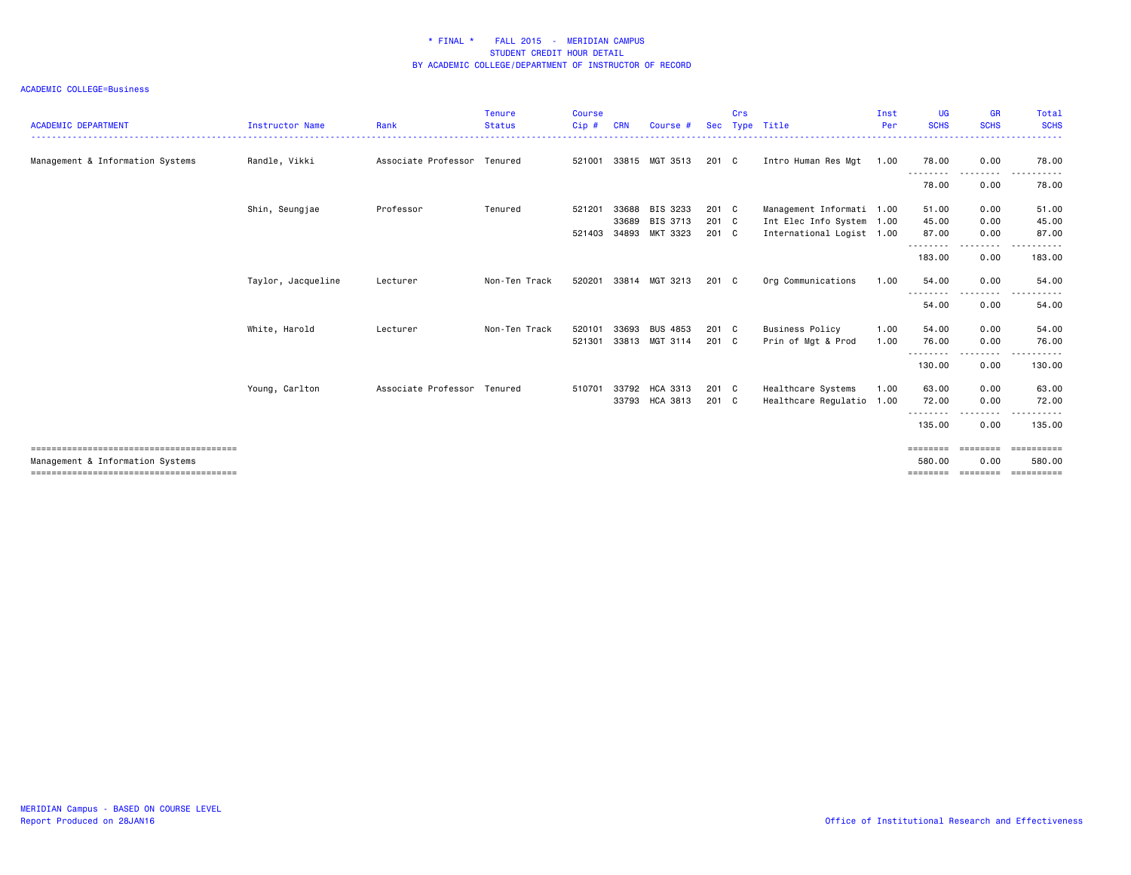| <b>ACADEMIC DEPARTMENT</b>       | <b>Instructor Name</b> | Rank                        | <b>Tenure</b><br><b>Status</b> | <b>Course</b><br>Cip# | <b>CRN</b>     | Course #                         | <b>Sec</b>             | Crs | Type Title                                             | Inst<br>Per  | <b>UG</b><br><b>SCHS</b>                 | <b>GR</b><br><b>SCHS</b> | Total<br><b>SCHS</b>                |
|----------------------------------|------------------------|-----------------------------|--------------------------------|-----------------------|----------------|----------------------------------|------------------------|-----|--------------------------------------------------------|--------------|------------------------------------------|--------------------------|-------------------------------------|
| Management & Information Systems | Randle, Vikki          | Associate Professor Tenured |                                | 521001                |                | 33815 MGT 3513                   | $201 \quad C$          |     | Intro Human Res Mgt                                    | 1.00         | 78.00                                    | 0.00                     | 78.00                               |
|                                  |                        |                             |                                |                       |                |                                  |                        |     |                                                        |              | - - - - -<br>78.00                       | 0.00                     | 78.00                               |
|                                  | Shin, Seungjae         | Professor                   | Tenured                        | 521201                | 33688          | BIS 3233                         | $201 \quad C$          |     | Management Informati 1.00                              |              | 51.00                                    | 0.00                     | 51.00                               |
|                                  |                        |                             |                                | 521403                | 33689<br>34893 | BIS 3713<br>MKT 3323             | 201 C<br>201 C         |     | Int Elec Info System 1.00<br>International Logist 1.00 |              | 45.00<br>87.00                           | 0.00<br>0.00             | 45.00<br>87.00                      |
|                                  |                        |                             |                                |                       |                |                                  |                        |     |                                                        |              | ---------<br>183.00                      | 0.00                     | 183.00                              |
|                                  | Taylor, Jacqueline     | Lecturer                    | Non-Ten Track                  | 520201                |                | 33814 MGT 3213                   | 201 C                  |     | Org Communications                                     | 1.00         | 54.00<br>--------                        | 0.00<br>.                | 54.00                               |
|                                  |                        |                             |                                |                       |                |                                  |                        |     |                                                        |              | 54.00                                    | 0.00                     | 54.00                               |
|                                  | White, Harold          | Lecturer                    | Non-Ten Track                  | 520101<br>521301      | 33693<br>33813 | <b>BUS 4853</b><br>MGT 3114      | $201 \quad C$<br>201 C |     | <b>Business Policy</b><br>Prin of Mgt & Prod           | 1.00<br>1.00 | 54.00<br>76.00                           | 0.00<br>0.00             | 54.00<br>76.00                      |
|                                  |                        |                             |                                |                       |                |                                  |                        |     |                                                        |              | .<br>130.00                              | 0.00                     | 130.00                              |
|                                  | Young, Carlton         | Associate Professor Tenured |                                | 510701                |                | 33792 HCA 3313<br>33793 HCA 3813 | $201 \quad C$<br>201 C |     | Healthcare Systems<br>Healthcare Regulatio 1.00        | 1.00         | 63.00<br>72.00                           | 0.00<br>0.00             | 63.00<br>72.00                      |
|                                  |                        |                             |                                |                       |                |                                  |                        |     |                                                        |              | ---------<br>135.00                      | --------<br>0.00         | ----------<br>135.00                |
| Management & Information Systems |                        |                             |                                |                       |                |                                  |                        |     |                                                        |              | ---------<br>580.00<br>================= | eessesse<br>0.00         | ==========<br>580.00<br>----------- |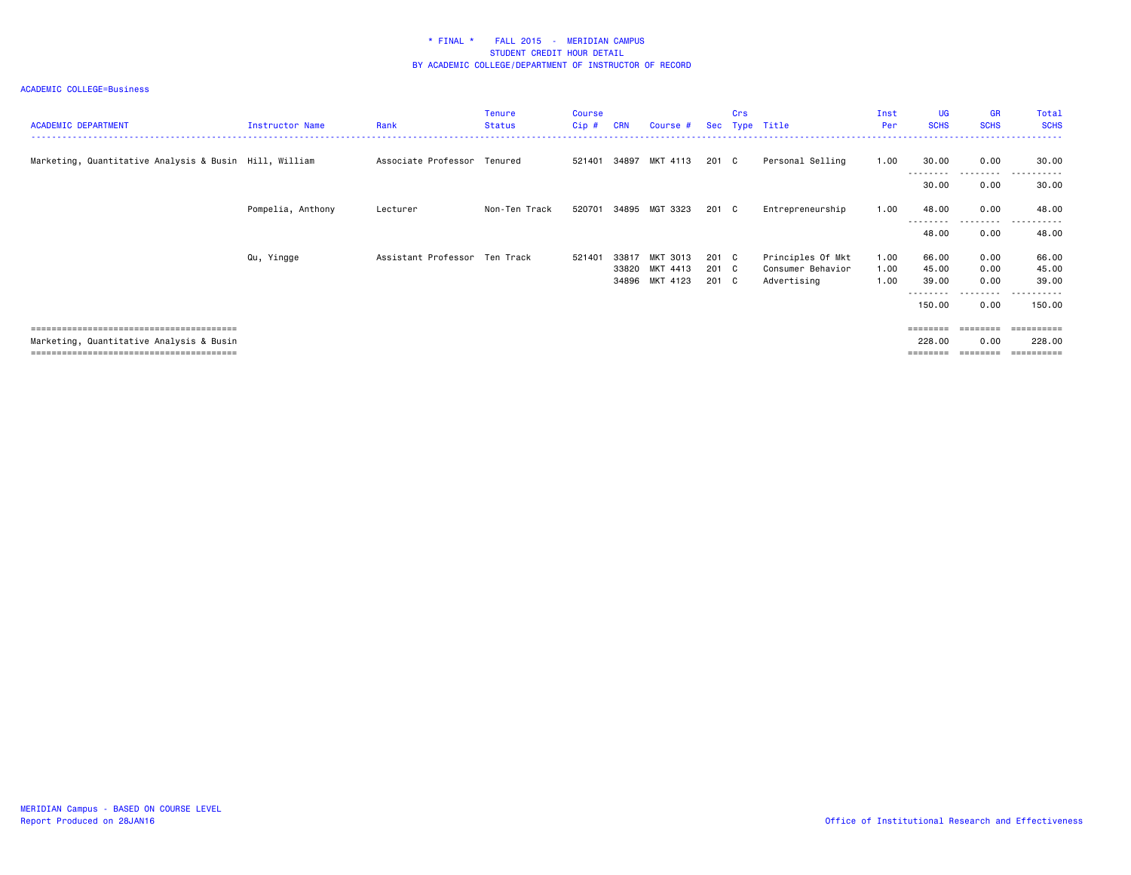| <b>ACADEMIC DEPARTMENT</b>                             | Instructor Name   | Rank                          | <b>Tenure</b><br><b>Status</b> | <b>Course</b><br>Cip# | <b>CRN</b>     | Course #                               |                         | Crs | Sec Type Title                                        | Inst<br>Per          | <b>UG</b><br><b>SCHS</b>         | <b>GR</b><br><b>SCHS</b> | Total<br><b>SCHS</b>              |
|--------------------------------------------------------|-------------------|-------------------------------|--------------------------------|-----------------------|----------------|----------------------------------------|-------------------------|-----|-------------------------------------------------------|----------------------|----------------------------------|--------------------------|-----------------------------------|
| Marketing, Quantitative Analysis & Busin Hill, William |                   | Associate Professor           | Tenured                        | 521401                | 34897          | MKT 4113                               | 201 C                   |     | Personal Selling                                      | 1.00                 | 30.00<br><u>- - - - - - - -</u>  | 0.00<br>--------         | 30.00<br>.                        |
|                                                        |                   |                               |                                |                       |                |                                        |                         |     |                                                       |                      | 30.00                            | 0.00                     | 30.00                             |
|                                                        | Pompelia, Anthony | Lecturer                      | Non-Ten Track                  | 520701                | 34895          | MGT 3323                               | 201 C                   |     | Entrepreneurship                                      | 1.00                 | 48.00                            | 0.00<br>.                | 48.00<br>.                        |
|                                                        |                   |                               |                                |                       |                |                                        |                         |     |                                                       |                      | 48.00                            | 0.00                     | 48.00                             |
|                                                        | Qu, Yingge        | Assistant Professor Ten Track |                                | 521401                | 33817<br>33820 | MKT 3013<br>MKT 4413<br>34896 MKT 4123 | 201 C<br>201 C<br>201 C |     | Principles Of Mkt<br>Consumer Behavior<br>Advertising | 1.00<br>1.00<br>1.00 | 66.00<br>45.00<br>39.00          | 0.00<br>0.00<br>0.00     | 66.00<br>45.00<br>39.00           |
|                                                        |                   |                               |                                |                       |                |                                        |                         |     |                                                       |                      | <u>- - - - - - - -</u><br>150.00 | ---------<br>0.00        | ----------<br>150.00              |
| Marketing, Quantitative Analysis & Busin               |                   |                               |                                |                       |                |                                        |                         |     |                                                       |                      | ========<br>228.00               | ========<br>0.00         | ==========<br>228.00<br>========= |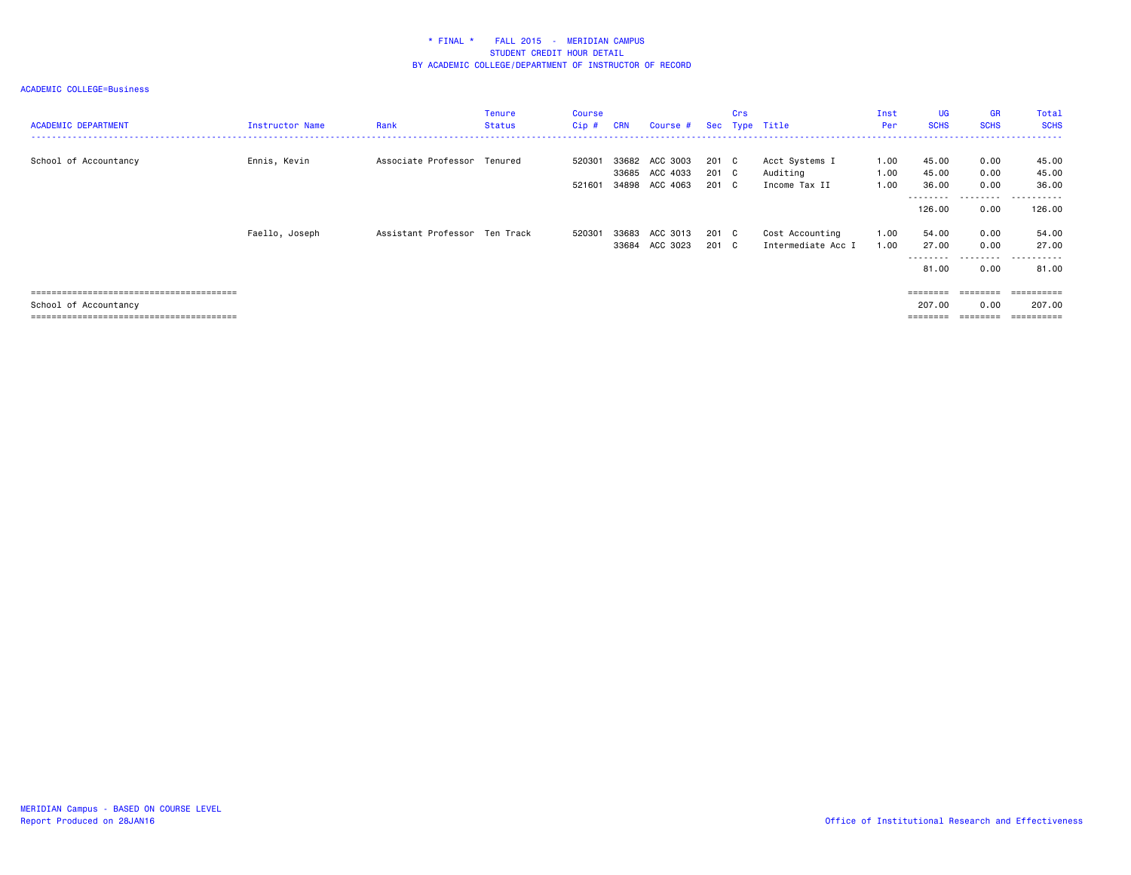| <b>ACADEMIC DEPARTMENT</b> | Instructor Name | Rank                          | Tenure<br><b>Status</b> | Course<br>Cip # | <b>CRN</b>     | Course #                         |                | Crs | Sec Type Title                        | Inst<br>Per  | UG<br><b>SCHS</b>                       | <b>GR</b><br><b>SCHS</b> | Total<br><b>SCHS</b>                                   |
|----------------------------|-----------------|-------------------------------|-------------------------|-----------------|----------------|----------------------------------|----------------|-----|---------------------------------------|--------------|-----------------------------------------|--------------------------|--------------------------------------------------------|
| School of Accountancy      | Ennis, Kevin    | Associate Professor Tenured   |                         | 520301          |                | 33682 ACC 3003<br>33685 ACC 4033 | 201 C<br>201 C |     | Acct Systems I<br>Auditing            | 1.00<br>1.00 | 45.00<br>45.00                          | 0.00<br>0.00             | 45.00<br>45.00                                         |
|                            |                 |                               |                         | 521601          |                | 34898 ACC 4063                   | 201 C          |     | Income Tax II                         | 1.00         | 36.00<br>---------<br>126.00            | 0.00<br>.<br>0.00        | 36.00<br>. <u>.</u> .<br>$ -$<br>126.00                |
|                            | Faello, Joseph  | Assistant Professor Ten Track |                         | 520301          | 33683<br>33684 | ACC 3013<br>ACC 3023             | 201 C<br>201 C |     | Cost Accounting<br>Intermediate Acc I | 1.00<br>1.00 | 54.00<br>27.00<br>.                     | 0.00<br>0.00<br>.        | 54.00<br>27.00<br>.                                    |
| School of Accountancy      |                 |                               |                         |                 |                |                                  |                |     |                                       |              | 81.00<br>========<br>207.00<br>======== | 0.00<br>========<br>0.00 | 81.00<br>==========<br>207.00<br>$=$ = = = = = = = = = |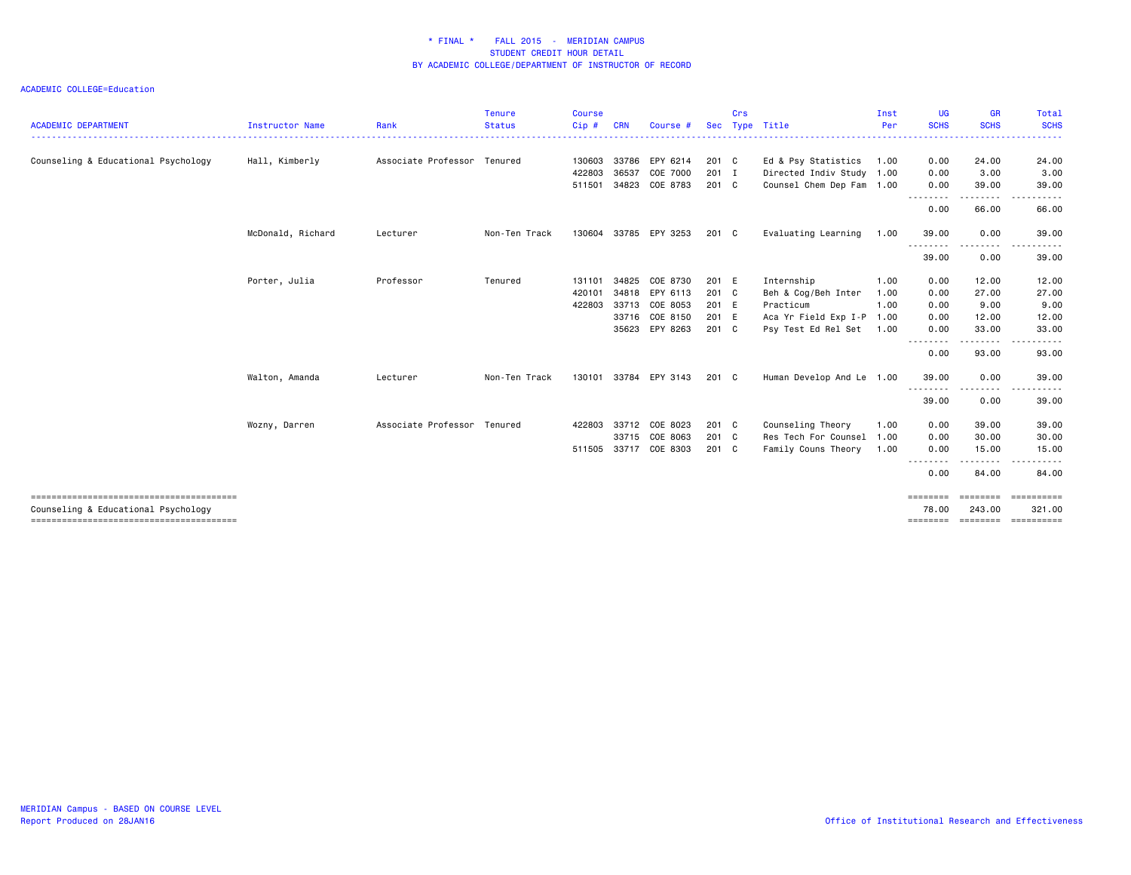ACADEMIC COLLEGE=Education

| <b>ACADEMIC DEPARTMENT</b>          | <b>Instructor Name</b> | Rank                        | <b>Tenure</b><br><b>Status</b> | <b>Course</b><br>Cip# | <b>CRN</b> | Course #       |       | Crs | Sec Type Title            | Inst<br>Per | UG<br><b>SCHS</b> | GR<br><b>SCHS</b> | Total<br><b>SCHS</b> |
|-------------------------------------|------------------------|-----------------------------|--------------------------------|-----------------------|------------|----------------|-------|-----|---------------------------|-------------|-------------------|-------------------|----------------------|
|                                     |                        |                             |                                |                       |            |                |       |     |                           |             |                   |                   |                      |
| Counseling & Educational Psychology | Hall, Kimberly         | Associate Professor Tenured |                                | 130603                | 33786      | EPY 6214       | 201 C |     | Ed & Psy Statistics       | 1.00        | 0.00              | 24.00             | 24.00                |
|                                     |                        |                             |                                | 422803                | 36537      | COE 7000       | 201 I |     | Directed Indiv Study 1.00 |             | 0.00              | 3.00              | 3.00                 |
|                                     |                        |                             |                                | 511501                | 34823      | COE 8783       | 201 C |     | Counsel Chem Dep Fam 1.00 |             | 0.00              | 39.00             | 39.00                |
|                                     |                        |                             |                                |                       |            |                |       |     |                           |             | .<br>0.00         | 66.00             | 66.00                |
|                                     | McDonald, Richard      | Lecturer                    | Non-Ten Track                  | 130604                |            | 33785 EPY 3253 | 201 C |     | Evaluating Learning       | 1.00        | 39.00             | 0.00              | 39.00                |
|                                     |                        |                             |                                |                       |            |                |       |     |                           |             | .<br>39.00        | .<br>0.00         | 39.00                |
|                                     | Porter, Julia          | Professor                   | Tenured                        | 131101                | 34825      | COE 8730       | 201 E |     | Internship                | 1.00        | 0.00              | 12.00             | 12.00                |
|                                     |                        |                             |                                | 420101                | 34818      | EPY 6113       | 201 C |     | Beh & Cog/Beh Inter       | 1.00        | 0.00              | 27.00             | 27.00                |
|                                     |                        |                             |                                | 422803                | 33713      | COE 8053       | 201 E |     | Practicum                 | 1.00        | 0.00              | 9.00              | 9.00                 |
|                                     |                        |                             |                                |                       |            | 33716 COE 8150 | 201 E |     | Aca Yr Field Exp I-P 1.00 |             | 0.00              | 12.00             | 12.00                |
|                                     |                        |                             |                                |                       |            | 35623 EPY 8263 | 201 C |     | Psy Test Ed Rel Set       | 1.00        | 0.00              | 33.00             | 33.00                |
|                                     |                        |                             |                                |                       |            |                |       |     |                           |             | .<br>0.00         | .<br>93.00        | 93.00                |
|                                     | Walton, Amanda         | Lecturer                    | Non-Ten Track                  | 130101                |            | 33784 EPY 3143 | 201 C |     | Human Develop And Le 1.00 |             | 39.00             | 0.00              | 39.00                |
|                                     |                        |                             |                                |                       |            |                |       |     |                           |             | 39.00             | 0.00              | 39.00                |
|                                     | Wozny, Darren          | Associate Professor Tenured |                                | 422803                | 33712      | COE 8023       | 201 C |     | Counseling Theory         | 1.00        | 0.00              | 39.00             | 39.00                |
|                                     |                        |                             |                                |                       | 33715      | COE 8063       | 201 C |     | Res Tech For Counsel 1.00 |             | 0.00              | 30.00             | 30.00                |
|                                     |                        |                             |                                | 511505                | 33717      | COE 8303       | 201 C |     | Family Couns Theory       | 1.00        | 0.00              | 15.00             | 15.00                |
|                                     |                        |                             |                                |                       |            |                |       |     |                           |             | 0.00              | .<br>84.00        | 84.00                |
|                                     |                        |                             |                                |                       |            |                |       |     |                           |             | ========          | ========          | ==========           |
| Counseling & Educational Psychology |                        |                             |                                |                       |            |                |       |     |                           |             | 78.00             | 243.00            | 321.00               |

======================================== ======== ======== ==========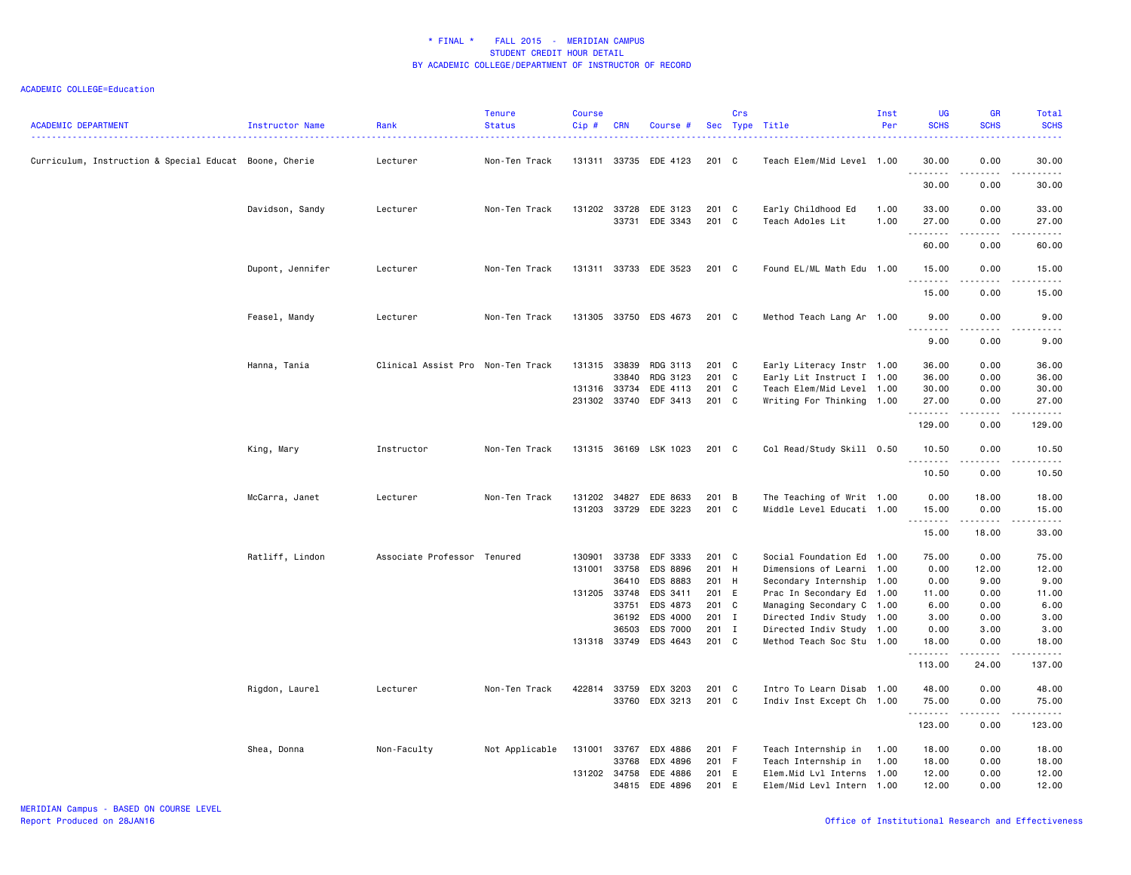| <b>ACADEMIC DEPARTMENT</b>                             | Instructor Name  | Rank                              | <b>Tenure</b><br><b>Status</b> | <b>Course</b><br>Cip#                            | <b>CRN</b>                                         | Course #                                                                                     |                                                                      | Crs | Sec Type Title                                                                                                                                                                                                                       | Inst<br>Per          | <b>UG</b><br><b>SCHS</b>                                             | <b>GR</b><br><b>SCHS</b>                                                    | Total<br><b>SCHS</b>                                                                                                                                           |
|--------------------------------------------------------|------------------|-----------------------------------|--------------------------------|--------------------------------------------------|----------------------------------------------------|----------------------------------------------------------------------------------------------|----------------------------------------------------------------------|-----|--------------------------------------------------------------------------------------------------------------------------------------------------------------------------------------------------------------------------------------|----------------------|----------------------------------------------------------------------|-----------------------------------------------------------------------------|----------------------------------------------------------------------------------------------------------------------------------------------------------------|
| Curriculum, Instruction & Special Educat Boone, Cherie |                  | Lecturer                          | Non-Ten Track                  |                                                  |                                                    | 131311 33735 EDE 4123                                                                        | $201$ C                                                              |     | Teach Elem/Mid Level 1.00                                                                                                                                                                                                            |                      | 30.00<br><u>.</u>                                                    | 0.00<br>المتمامين                                                           | 30.00<br>.                                                                                                                                                     |
|                                                        |                  |                                   |                                |                                                  |                                                    |                                                                                              |                                                                      |     |                                                                                                                                                                                                                                      |                      | 30.00                                                                | 0.00                                                                        | 30.00                                                                                                                                                          |
|                                                        | Davidson, Sandy  | Lecturer                          | Non-Ten Track                  | 131202 33728                                     | 33731                                              | EDE 3123<br>EDE 3343                                                                         | 201 C<br>201 C                                                       |     | Early Childhood Ed<br>Teach Adoles Lit                                                                                                                                                                                               | 1.00<br>1.00         | 33.00<br>27.00                                                       | 0.00<br>0.00                                                                | 33.00<br>27.00                                                                                                                                                 |
|                                                        |                  |                                   |                                |                                                  |                                                    |                                                                                              |                                                                      |     |                                                                                                                                                                                                                                      |                      | .<br>60.00                                                           | الداعات ب<br>0.00                                                           | المتمالين<br>60.00                                                                                                                                             |
|                                                        | Dupont, Jennifer | Lecturer                          | Non-Ten Track                  |                                                  |                                                    | 131311 33733 EDE 3523                                                                        | $201$ C                                                              |     | Found EL/ML Math Edu 1.00                                                                                                                                                                                                            |                      | 15.00<br>.                                                           | 0.00<br>$  -$                                                               | 15.00<br>.                                                                                                                                                     |
|                                                        |                  |                                   |                                |                                                  |                                                    |                                                                                              |                                                                      |     |                                                                                                                                                                                                                                      |                      | 15.00                                                                | 0.00                                                                        | 15.00                                                                                                                                                          |
|                                                        | Feasel, Mandy    | Lecturer                          | Non-Ten Track                  |                                                  |                                                    | 131305 33750 EDS 4673                                                                        | $201$ C                                                              |     | Method Teach Lang Ar 1.00                                                                                                                                                                                                            |                      | 9.00<br>.<br>.                                                       | 0.00<br>$- - - -$                                                           | 9.00<br>.                                                                                                                                                      |
|                                                        |                  |                                   |                                |                                                  |                                                    |                                                                                              |                                                                      |     |                                                                                                                                                                                                                                      |                      | 9.00                                                                 | 0.00                                                                        | 9.00                                                                                                                                                           |
|                                                        | Hanna, Tania     | Clinical Assist Pro Non-Ten Track |                                | 131315<br>131316 33734<br>231302 33740           | 33839<br>33840                                     | RDG 3113<br>RDG 3123<br>EDE 4113<br>EDF 3413                                                 | 201 C<br>201 C<br>201 C<br>201 C                                     |     | Early Literacy Instr 1.00<br>Early Lit Instruct I 1.00<br>Teach Elem/Mid Level 1.00<br>Writing For Thinking 1.00                                                                                                                     |                      | 36.00<br>36.00<br>30.00<br>27.00                                     | 0.00<br>0.00<br>0.00<br>0.00                                                | 36.00<br>36.00<br>30.00<br>27.00                                                                                                                               |
|                                                        |                  |                                   |                                |                                                  |                                                    |                                                                                              |                                                                      |     |                                                                                                                                                                                                                                      |                      | .<br>129.00                                                          | 0.00                                                                        | $\frac{1}{2} \left( \frac{1}{2} \right) \left( \frac{1}{2} \right) \left( \frac{1}{2} \right) \left( \frac{1}{2} \right) \left( \frac{1}{2} \right)$<br>129.00 |
|                                                        | King, Mary       | Instructor                        | Non-Ten Track                  |                                                  |                                                    | 131315 36169 LSK 1023                                                                        | 201 C                                                                |     | Col Read/Study Skill 0.50                                                                                                                                                                                                            |                      | 10.50<br>.                                                           | 0.00<br>$\frac{1}{2}$                                                       | 10.50<br>.                                                                                                                                                     |
|                                                        |                  |                                   |                                |                                                  |                                                    |                                                                                              |                                                                      |     |                                                                                                                                                                                                                                      |                      | 10.50                                                                | 0.00                                                                        | 10.50                                                                                                                                                          |
|                                                        | McCarra, Janet   | Lecturer                          | Non-Ten Track                  | 131202<br>131203 33729                           | 34827                                              | EDE 8633<br>EDE 3223                                                                         | 201 B<br>201 C                                                       |     | The Teaching of Writ 1.00<br>Middle Level Educati 1.00                                                                                                                                                                               |                      | 0.00<br>15.00                                                        | 18.00<br>0.00                                                               | 18.00<br>15.00                                                                                                                                                 |
|                                                        |                  |                                   |                                |                                                  |                                                    |                                                                                              |                                                                      |     |                                                                                                                                                                                                                                      |                      | .<br>15.00                                                           | 18.00                                                                       | $\frac{1}{2}$ . $\frac{1}{2}$<br>33.00                                                                                                                         |
|                                                        | Ratliff, Lindon  | Associate Professor Tenured       |                                | 130901<br>131001<br>131205 33748<br>131318 33749 | 33738<br>33758<br>36410<br>33751<br>36192<br>36503 | EDF 3333<br>EDS 8896<br>EDS 8883<br>EDS 3411<br>EDS 4873<br>EDS 4000<br>EDS 7000<br>EDS 4643 | 201 C<br>201 H<br>201 H<br>201 E<br>201 C<br>201 I<br>201 I<br>201 C |     | Social Foundation Ed 1.00<br>Dimensions of Learni 1.00<br>Secondary Internship 1.00<br>Prac In Secondary Ed 1.00<br>Managing Secondary C 1.00<br>Directed Indiv Study 1.00<br>Directed Indiv Study 1.00<br>Method Teach Soc Stu 1.00 |                      | 75.00<br>0.00<br>0.00<br>11.00<br>6.00<br>3.00<br>0.00<br>18.00<br>. | 0.00<br>12.00<br>9.00<br>0.00<br>0.00<br>0.00<br>3.00<br>0.00<br>. <b>.</b> | 75.00<br>12.00<br>9.00<br>11.00<br>6.00<br>3.00<br>3.00<br>18.00<br>.                                                                                          |
|                                                        |                  |                                   |                                |                                                  |                                                    |                                                                                              |                                                                      |     |                                                                                                                                                                                                                                      |                      | 113.00                                                               | 24.00                                                                       | 137.00                                                                                                                                                         |
|                                                        | Rigdon, Laurel   | Lecturer                          | Non-Ten Track                  | 422814                                           | 33759<br>33760                                     | EDX 3203<br>EDX 3213                                                                         | 201 C<br>201 C                                                       |     | Intro To Learn Disab 1.00<br>Indiv Inst Except Ch 1.00                                                                                                                                                                               |                      | 48.00<br>75.00<br>.                                                  | 0.00<br>0.00<br>$- - - -$                                                   | 48.00<br>75.00<br>.                                                                                                                                            |
|                                                        |                  |                                   |                                |                                                  |                                                    |                                                                                              |                                                                      |     |                                                                                                                                                                                                                                      |                      | 123.00                                                               | 0.00                                                                        | 123.00                                                                                                                                                         |
|                                                        | Shea, Donna      | Non-Faculty                       | Not Applicable                 | 131001<br>131202 34758                           | 33767<br>33768<br>34815                            | EDX 4886<br>EDX 4896<br>EDE 4886<br>EDE 4896                                                 | 201 F<br>201 F<br>201 E<br>201 E                                     |     | Teach Internship in<br>Teach Internship in<br>Elem.Mid Lvl Interns<br>Elem/Mid Levl Intern 1.00                                                                                                                                      | 1.00<br>1.00<br>1.00 | 18.00<br>18.00<br>12.00<br>12.00                                     | 0.00<br>0.00<br>0.00<br>0.00                                                | 18.00<br>18.00<br>12.00<br>12.00                                                                                                                               |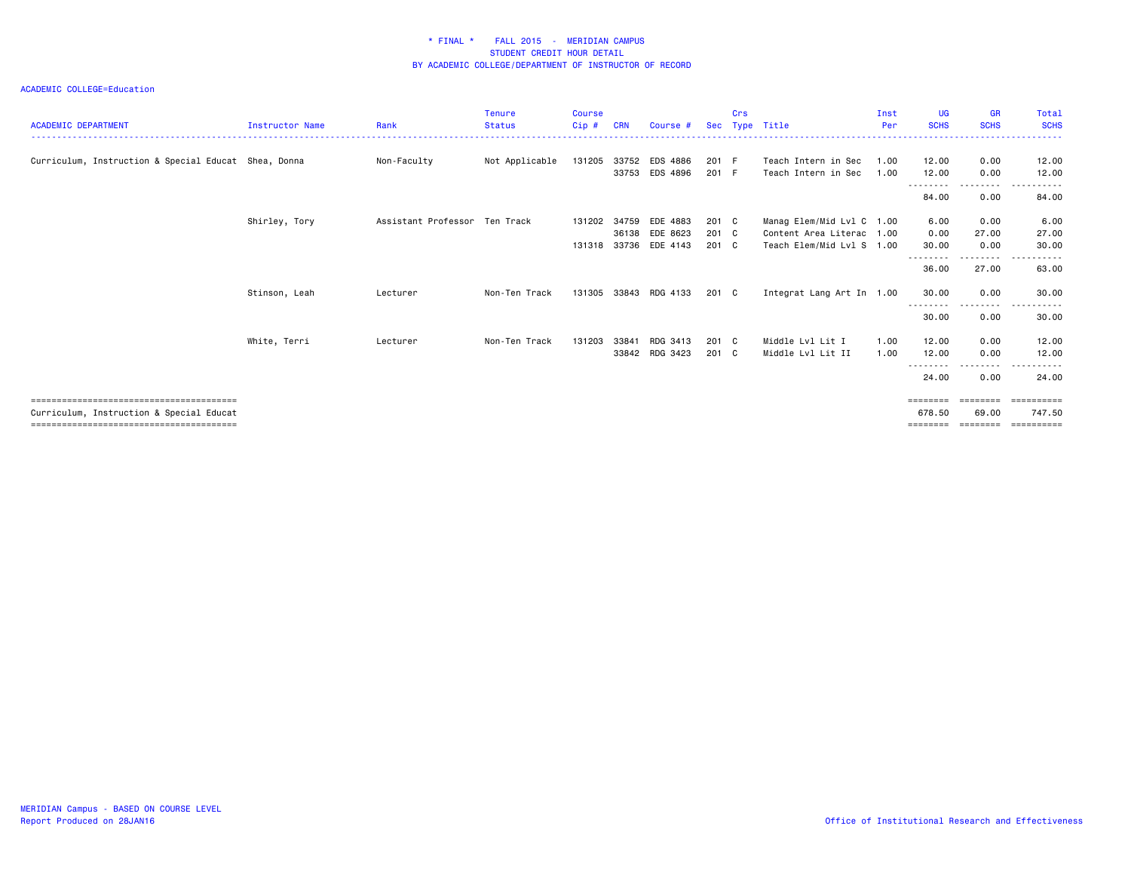| <b>ACADEMIC DEPARTMENT</b>                           | <b>Instructor Name</b> | Rank                          | <b>Tenure</b><br><b>Status</b> | <b>Course</b><br>Cip#        | <b>CRN</b>     | Course #                         | <b>Sec</b>                      | Crs | Type Title                                                                          | Inst<br>Per  | <b>UG</b><br><b>SCHS</b> | <b>GR</b><br><b>SCHS</b>      | Total<br><b>SCHS</b><br>.          |
|------------------------------------------------------|------------------------|-------------------------------|--------------------------------|------------------------------|----------------|----------------------------------|---------------------------------|-----|-------------------------------------------------------------------------------------|--------------|--------------------------|-------------------------------|------------------------------------|
| Curriculum, Instruction & Special Educat Shea, Donna |                        | Non-Faculty                   | Not Applicable                 | 131205 33752                 | 33753          | EDS 4886<br>EDS 4896             | 201 F<br>201 F                  |     | Teach Intern in Sec<br>Teach Intern in Sec                                          | 1.00<br>1.00 | 12.00<br>12.00           | 0.00<br>0.00                  | 12.00<br>12.00                     |
|                                                      |                        |                               |                                |                              |                |                                  |                                 |     |                                                                                     |              | --------<br>84.00        | $\cdots$<br>0.00              | 84.00                              |
|                                                      | Shirley, Tory          | Assistant Professor Ten Track |                                | 131202 34759<br>131318 33736 | 36138          | EDE 4883<br>EDE 8623<br>EDE 4143 | 201 C<br>201 C<br>$201 \quad C$ |     | Manag Elem/Mid Lvl C 1.00<br>Content Area Literac 1.00<br>Teach Elem/Mid Lvl S 1.00 |              | 6.00<br>0.00<br>30.00    | 0.00<br>27.00<br>0.00         | 6.00<br>27.00<br>30.00             |
|                                                      |                        |                               |                                |                              |                |                                  |                                 |     |                                                                                     |              | --------<br>36.00        | .<br>27.00                    | $  -$<br>.<br>63.00                |
|                                                      | Stinson, Leah          | Lecturer                      | Non-Ten Track                  |                              |                | 131305 33843 RDG 4133            | 201 C                           |     | Integrat Lang Art In 1.00                                                           |              | 30.00<br>.               | 0.00                          | 30.00                              |
|                                                      |                        |                               |                                |                              |                |                                  |                                 |     |                                                                                     |              | 30.00                    | 0.00                          | 30.00                              |
|                                                      | White, Terri           | Lecturer                      | Non-Ten Track                  | 131203                       | 33841<br>33842 | RDG 3413<br>RDG 3423             | 201 C<br>201 C                  |     | Middle Lvl Lit I<br>Middle Lvl Lit II                                               | 1.00<br>1.00 | 12.00<br>12.00           | 0.00<br>0.00                  | 12.00<br>12.00                     |
|                                                      |                        |                               |                                |                              |                |                                  |                                 |     |                                                                                     |              | --------<br>24.00        | --------<br>0.00              | .<br>24.00                         |
| Curriculum, Instruction & Special Educat             |                        |                               |                                |                              |                |                                  |                                 |     |                                                                                     |              | ========<br>678.50       | ========<br>69.00<br>======== | ==========<br>747.50<br>========== |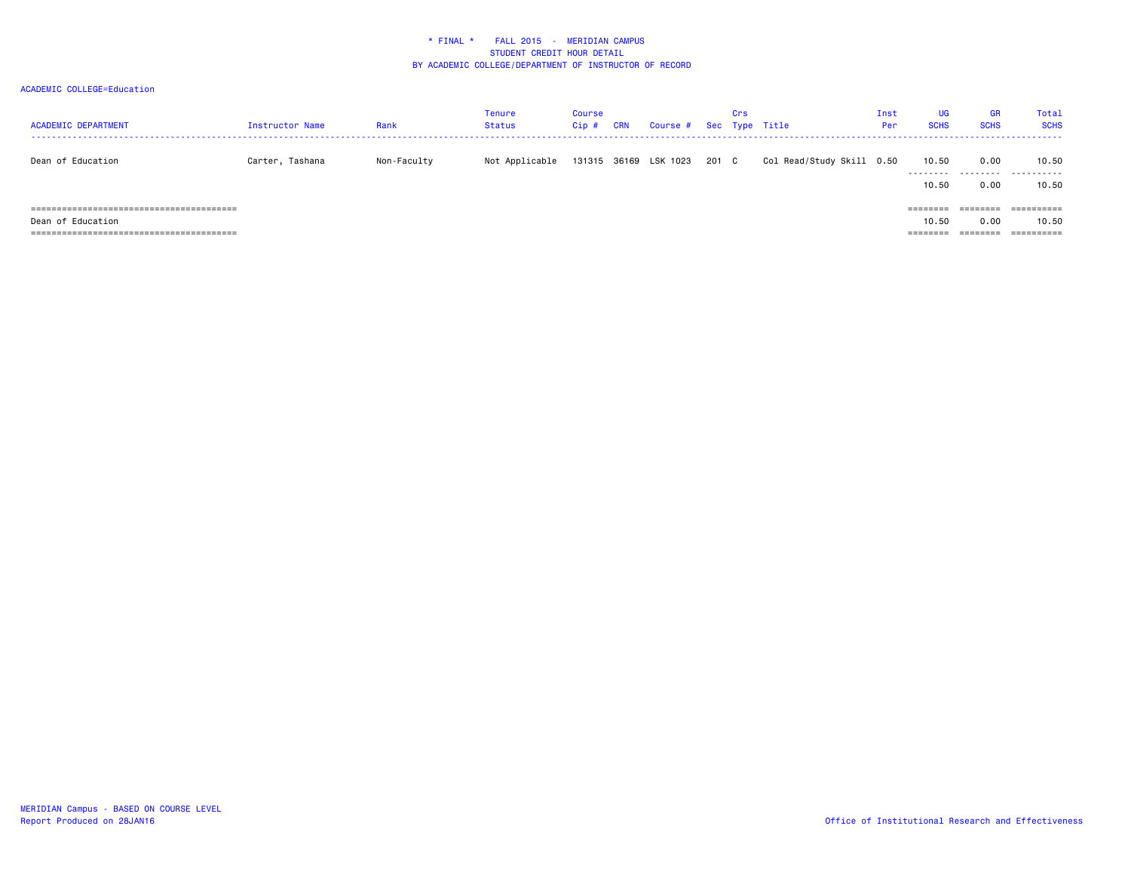| <b>ACADEMIC DEPARTMENT</b> | Instructor Name | Rank        | <b>Tenure</b><br><b>Status</b> | Course<br>Cip# | <b>CRN</b> | Course # Sec Type Title |       | Crs |                           | Inst<br>Per | <b>UG</b><br><b>SCHS</b> | GR<br><b>SCHS</b> | <b>Total</b><br><b>SCHS</b> |
|----------------------------|-----------------|-------------|--------------------------------|----------------|------------|-------------------------|-------|-----|---------------------------|-------------|--------------------------|-------------------|-----------------------------|
| Dean of Education          | Carter, Tashana | Non-Faculty | Not Applicable                 |                |            | 131315 36169 LSK 1023   | 201 C |     | Col Read/Study Skill 0.50 |             | 10.50<br>.               | 0.00<br>.         | 10.50<br>.                  |
|                            |                 |             |                                |                |            |                         |       |     |                           |             | 10.50                    | 0.00              | 10.50                       |
| ======================     |                 |             |                                |                |            |                         |       |     |                           |             | =======                  | :=======          | ==========                  |
| Dean of Education          |                 |             |                                |                |            |                         |       |     |                           |             | 10.50                    | 0.00              | 10.50                       |
|                            |                 |             |                                |                |            |                         |       |     |                           |             | ---------<br>========    | ========          | ==========                  |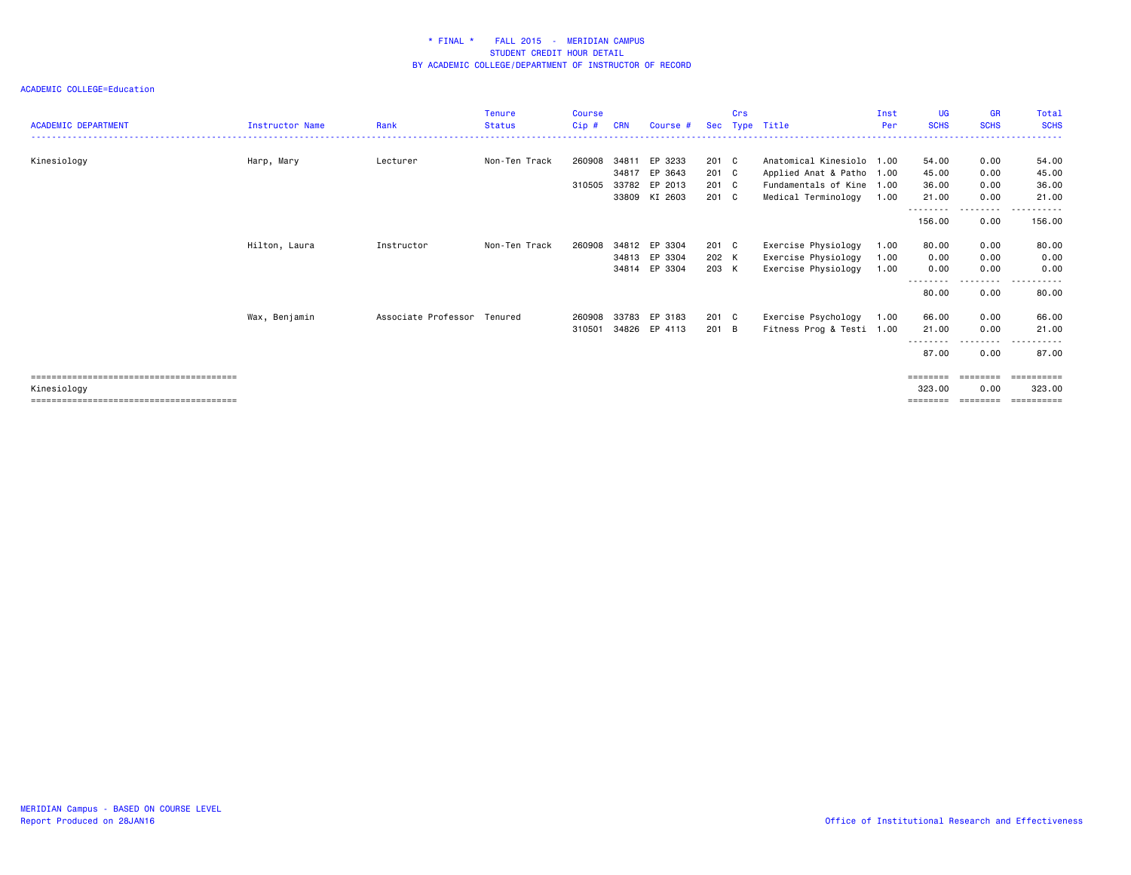|                            |                        |                             | <b>Tenure</b> | <b>Course</b> |            |               |       | Crs |                           | Inst | <b>UG</b>           | <b>GR</b>        | Total                          |
|----------------------------|------------------------|-----------------------------|---------------|---------------|------------|---------------|-------|-----|---------------------------|------|---------------------|------------------|--------------------------------|
| <b>ACADEMIC DEPARTMENT</b> | <b>Instructor Name</b> | Rank                        | Status        | Cip#          | <b>CRN</b> | Course #      |       |     | Sec Type Title            | Per  | <b>SCHS</b>         | <b>SCHS</b>      | <b>SCHS</b>                    |
|                            |                        |                             |               |               |            |               |       |     |                           |      |                     |                  |                                |
| Kinesiology                | Harp, Mary             | Lecturer                    | Non-Ten Track | 260908        | 34811      | EP 3233       | 201 C |     | Anatomical Kinesiolo 1.00 |      | 54.00               | 0.00             | 54.00                          |
|                            |                        |                             |               |               | 34817      | EP 3643       | 201 C |     | Applied Anat & Patho 1.00 |      | 45.00               | 0.00             | 45.00                          |
|                            |                        |                             |               | 310505        | 33782      | EP 2013       | 201 C |     | Fundamentals of Kine 1.00 |      | 36.00               | 0.00             | 36.00                          |
|                            |                        |                             |               |               | 33809      | KI 2603       | 201 C |     | Medical Terminology       | 1.00 | 21.00               | 0.00             | 21.00                          |
|                            |                        |                             |               |               |            |               |       |     |                           |      | ---------<br>156.00 | .<br>0.00        | .<br>156.00                    |
|                            | Hilton, Laura          | Instructor                  | Non-Ten Track | 260908        | 34812      | EP 3304       | 201 C |     | Exercise Physiology       | 1.00 | 80.00               | 0.00             | 80.00                          |
|                            |                        |                             |               |               | 34813      | EP 3304       | 202 K |     | Exercise Physiology       | 1.00 | 0.00                | 0.00             | 0.00                           |
|                            |                        |                             |               |               | 34814      | EP 3304       | 203 K |     | Exercise Physiology       | 1.00 | 0.00                | 0.00             | 0.00                           |
|                            |                        |                             |               |               |            |               |       |     |                           |      | --------<br>80.00   | 0.00             | . <b>.</b><br>$- - -$<br>80.00 |
|                            | Wax, Benjamin          | Associate Professor Tenured |               | 260908        | 33783      | EP 3183       | 201 C |     | Exercise Psychology       | 1.00 | 66.00               | 0.00             | 66.00                          |
|                            |                        |                             |               | 310501        |            | 34826 EP 4113 | 201 B |     | Fitness Prog & Testi 1.00 |      | 21.00               | 0.00             | 21.00                          |
|                            |                        |                             |               |               |            |               |       |     |                           |      | --------<br>87.00   | --------<br>0.00 | .<br>87.00                     |
|                            |                        |                             |               |               |            |               |       |     |                           |      | ========            | ========         | ==========                     |
| Kinesiology                |                        |                             |               |               |            |               |       |     |                           |      | 323,00              | 0.00             | 323.00                         |
|                            |                        |                             |               |               |            |               |       |     |                           |      | ========            | ========         | ==========                     |